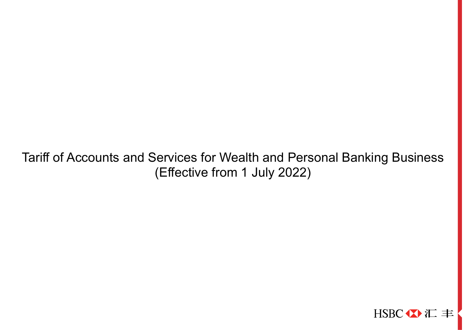Tariff of Accounts and Services for Wealth and Personal Banking Business (Effective from 1 July 2022)

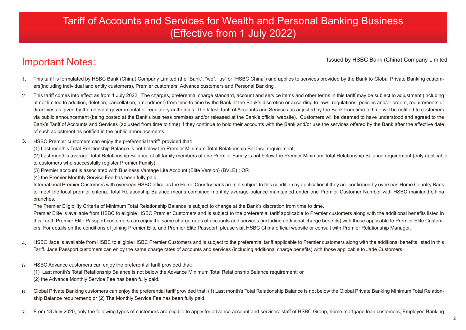# Tariff of Accounts and Services for Wealth and Personal Banking Business (Effective from 1 July 2022)

# Important Notes:

Issued by HSBC Bank (China) Company Limited

- This tariff is formulated by HSBC Bank (China) Company Limited (the "Bank", "we", "us" or "HSBC China") and applies to services provided by the Bank to Global Private Banking customers(including individual and entity customers), Premier customers, Advance customers and Personal Banking . 1.
- This tariff comes into effect as from 1 July 2022. The charges, preferential charge standard, account and service items and other terms in this tariff may be subject to adjustment (including ut not limited to addition, deletion, cancellation, amendment) from time to time by the Bank at the Bank's discretion or according to laws, regulations, policies and/or orders, requirements or directives as given by the relevant governmental or regulatory authorities. The latest Tariff of Accounts and Services as adjusted by the Bank from time to time will be notified to customers via public announcement (being posted at the Bank's business premises and/or released at the Bank's official website). Customers will be deemed to have understood and agreed to the Bank's Tariff of Accounts and Services (adjusted from time to time) if they continue to hold their accounts with the Bank and/or use the services offered by the Bank after the effective date of such adjustment as notified in the public announcements. 2.
- HSBC Premier customers can enjoy the preferential tariff\* provided that: 3.
	- (1) Last month's Total Relationship Balance is not below the Premier Minimum Total Relationship Balance requirement;

(2) Last month's average Total Relationship Balance of all family members of one Premier Family is not below the Premier Minimum Total Relationship Balance requirement (only applicable to customers who successfully register Premier Family);

- (3) Premier account is associated with Business Vantage Lite Account (Elite Version) (BVLE) ; OR
- (4) the Premier Monthly Service Fee has been fully paid.

International Premier Customers with overseas HSBC office as the Home Country bank are not subject to this condition by application if they are confirmed by overseas Home Country Bank to meet the local premier criteria. Total Relationship Balance means combined monthly average balance maintained under one Premier Customer Number with HSBC mainland China branches.

The Premier Eligibility Criteria of Minimum Total Relationship Balance is subject to change at the Bank's discretion from time to time.

Premier Elite is available from HSBC to eligible HSBC Premier Customers and is subject to the preferential tariff applicable to Premier customers along with the additional benefits listed in this Tariff. Premier Elite Passport customers can enjoy the same charge rates of accounts and services (including additional charge benefits) with those applicable to Premier Elite Customers. For details on the conditions of joining Premier Elite and Premier Elite Passport, please visit HSBC China official website or consult with Premier Relationship Manager.

- HSBC Jade is available from HSBC to eligible HSBC Premier Customers and is subject to the preferential tariff applicable to Premier customers along with the additional benefits listed in this Tariff. Jade Passport customers can enjoy the same charge rates of accounts and services (including additional charge benefits) with those applicable to Jade Customers. 4.
- HSBC Advance customers can enjoy the preferential tariff provided that: (1) Last month's Total Relationship Balance is not below the Advance Minimum Total Relationship Balance requirement; or (2) the Advance Monthly Service Fee has been fully paid. 5.
- Global Private Banking customers can enjoy the preferential tariff provided that: (1) Last month's Total Relationship Balance is not below the Global Private Banking Minimum Total Relationship Balance requirement; or (2) The Monthly Service Fee has been fully paid. 6.
- From 13 July 2020, only the following types of customers are eligible to apply for advance account and services: staff of HSBC Group, home mortgage loan customers, Employee Banking 7.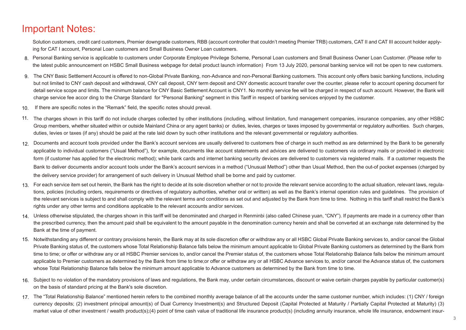## Important Notes:

Solution customers, credit card customers, Premier downgrade customers, RBB (account controller that couldn't meeting Premier TRB) customers, CAT II and CAT III account holder applying for CAT I account, Personal Loan customers and Small Business Owner Loan customers.

- 8. Personal Banking service is applicable to customers under Corporate Employee Privilege Scheme, Personal Loan customers and Small Business Owner Loan Customer. (Please refer to the latest public announcement on HSBC Small Business webpage for detail product launch information) From 13 July 2020, personal banking service will not be open to new customers.
- 9. The CNY Basic Settlement Account is offered to non-Global Private Banking, non-Advance and non-Personal Banking customers. This account only offers basic banking functions, including but not limited to CNY cash deposit and withdrawal, CNY call deposit, CNY term deposit and CNY domestic account transfer over the counter, please refer to account opening document for detail service scope and limits. The minimum balance for CNY Basic Settlement Account is CNY1. No monthly service fee will be charged in respect of such account. However, the Bank will charge service fee accor ding to the Charge Standard for "Personal Banking" segment in this Tariff in respect of banking services enjoyed by the customer.
- If there are specific notes in the "Remark" field, the specific notes should prevail. 10.
- 11. The charges shown in this tariff do not include charges collected by other institutions (including, without limitation, fund management companies, insurance companies, any other HSBC Group members, whether situated within or outside Mainland China or any agent banks) or duties, levies, charges or taxes imposed by governmental or regulatory authorities. Such charges, duties, levies or taxes (if any) should be paid at the rate laid down by such other institutions and the relevant governmental or regulatory authorities.
- 12. Documents and account tools provided under the Bank's account services are usually delivered to customers free of charge in such method as are determined by the Bank to be generally applicable to individual customers ("Usual Method"), for example, documents like account statements and advices are delivered to customers via ordinary mails or provided in electronic form (if customer has applied for the electronic method); while bank cards and internet banking security devices are delivered to customers via registered mails. If a customer requests the Bank to deliver documents and/or account tools under the Bank's account services in a method ("Unusual Method") other than Usual Method, then the out-of pocket expenses (charged by the delivery service provider) for arrangement of such delivery in Unusual Method shall be borne and paid by customer.
- For each service item set out herein, the Bank has the right to decide at its sole discretion whether or not to provide the relevant service according to the actual situation, relevant laws, regula-13. tions, policies (including orders, requirements or directives of regulatory authorities, whether oral or written) as well as the Bank's internal operation rules and guidelines. The provision of the relevant services is subject to and shall comply with the relevant terms and conditions as set out and adjusted by the Bank from time to time. Nothing in this tariff shall restrict the Bank's rights under any other terms and conditions applicable to the relevant accounts and/or services.
- 14. Unless otherwise stipulated, the charges shown in this tariff will be denominated and charged in Renminbi (also called Chinese yuan, "CNY"). If payments are made in a currency other than the prescribed currency, then the amount paid shall be equivalent to the amount payable in the denomination currency herein and shall be converted at an exchange rate determined by the Bank at the time of payment.
- 15. Notwithstanding any different or contrary provisions herein, the Bank may at its sole discretion offer or withdraw any or all HSBC Global Private Banking services to, and/or cancel the Global Private Banking status of, the customers whose Total Relationship Balance falls below the minimum amount applicable to Global Private Banking customers as determined by the Bank from time to time; or offer or withdraw any or all HSBC Premier services to, and/or cancel the Premier status of, the customers whose Total Relationship Balance falls below the minimum amount applicable to Premier customers as determined by the Bank from time to time; or offer or withdraw any or all HSBC Advance services to, and/or cancel the Advance status of, the customers whose Total Relationship Balance falls below the minimum amount applicable to Advance customers as determined by the Bank from time to time.
- 16. Subject to no violation of the mandatory provisions of laws and regulations, the Bank may, under certain circumstances, discount or waive certain charges payable by particular customer(s) on the basis of standard pricing at the Bank's sole discretion.
- 17. The "Total Relationship Balance" mentioned herein refers to the combined monthly average balance of all the accounts under the same customer number, which includes: (1) CNY / foreign currency deposits; (2) investment principal amount(s) of Dual Currency Investment(s) and Structured Deposit (Capital Protected at Maturity / Partially Capital Protected at Maturity) (3) market value of other investment / wealth product(s);(4) point of time cash value of traditional life insurance product(s) (including annuity insurance, whole life insurance, endowment insur-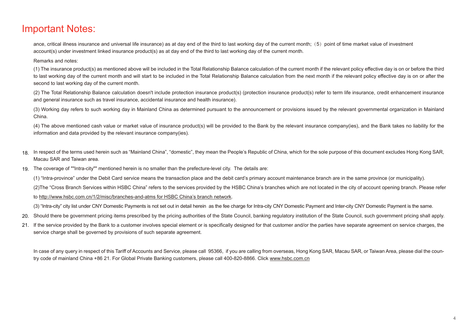### Important Notes:

ance, critical illness insurance and universal life insurance) as at day end of the third to last working day of the current month; (5) point of time market value of investment account(s) under investment linked insurance product(s) as at day end of the third to last working day of the current month.

#### Remarks and notes:

(1) The insurance product(s) as mentioned above will be included in the Total Relationship Balance calculation of the current month if the relevant policy effective day is on or before the third to last working day of the current month and will start to be included in the Total Relationship Balance calculation from the next month if the relevant policy effective day is on or after the second to last working day of the current month.

(2) The Total Relationship Balance calculation doesn't include protection insurance product(s) (protection insurance product(s) refer to term life insurance, credit enhancement insurance and general insurance such as travel insurance, accidental insurance and health insurance).

(3) Working day refers to such working day in Mainland China as determined pursuant to the announcement or provisions issued by the relevant governmental organization in Mainland China.

(4) The above mentioned cash value or market value of insurance product(s) will be provided to the Bank by the relevant insurance company(ies), and the Bank takes no liability for the information and data provided by the relevant insurance company(ies).

- 18. In respect of the terms used herein such as "Mainland China", "domestic", they mean the People's Republic of China, which for the sole purpose of this document excludes Hong Kong SAR, Macau SAR and Taiwan area.
- The coverage of ""Intra-city"" mentioned herein is no smaller than the prefecture-level city. The details are: 19.

(1) "Intra-province" under the Debit Card service means the transaction place and the debit card's primary account maintenance branch are in the same province (or municipality).

(2)The "Cross Branch Services within HSBC China" refers to the services provided by the HSBC China's branches which are not located in the city of account opening branch. Please refer

#### to http://www.hsbc.com.cn/1/2/misc/branches-and-atms for HSBC China's branch network.

(3) "Intra-city" city list under CNY Domestic Payments is not set out in detail herein as the fee charge for Intra-city CNY Domestic Payment and Inter-city CNY Domestic Payment is the same.

20. Should there be government pricing items prescribed by the pricing authorities of the State Council, banking regulatory institution of the State Council, such government pricing shall apply.

21. If the service provided by the Bank to a customer involves special element or is specifically designed for that customer and/or the parties have separate agreement on service charges, the service charge shall be governed by provisions of such separate agreement.

In case of any query in respect of this Tariff of Accounts and Service, please call 95366, if you are calling from overseas, Hong Kong SAR, Macau SAR, or Taiwan Area, please dial the country code of mainland China +86 21. For Global Private Banking customers, please call 400-820-8866. Click www.hsbc.com.cn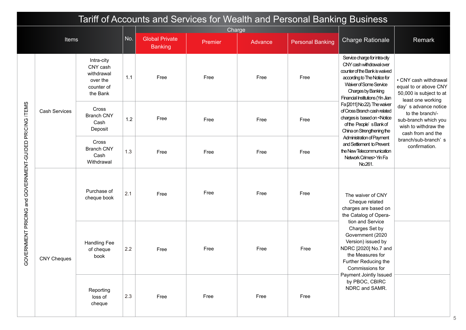|                                          | Tariff of Accounts and Services for Wealth and Personal Banking Business<br>Charge |                                                                            |     |                                         |         |         |                         |                                                                                                                                                                                                               |                                                                                                              |  |  |
|------------------------------------------|------------------------------------------------------------------------------------|----------------------------------------------------------------------------|-----|-----------------------------------------|---------|---------|-------------------------|---------------------------------------------------------------------------------------------------------------------------------------------------------------------------------------------------------------|--------------------------------------------------------------------------------------------------------------|--|--|
|                                          |                                                                                    |                                                                            |     |                                         |         |         |                         |                                                                                                                                                                                                               |                                                                                                              |  |  |
|                                          | Items                                                                              |                                                                            | No. | <b>Global Private</b><br><b>Banking</b> | Premier | Advance | <b>Personal Banking</b> | <b>Charge Rationale</b>                                                                                                                                                                                       | Remark                                                                                                       |  |  |
|                                          |                                                                                    | Intra-city<br>CNY cash<br>withdrawal<br>over the<br>counter of<br>the Bank | 1.1 | Free                                    | Free    | Free    | Free                    | Service charge for intra-city<br>CNY cash withdrawal over<br>counter of the Bank is waived<br>according to The Notice for<br>Waiver of Some Service<br>Charges by Banking<br>Financial Institutions (Yin Jian | • CNY cash withdrawal<br>equal to or above CNY<br>50,000 is subject to at<br>least one working               |  |  |
| PRICING ITEMS                            | <b>Cash Services</b>                                                               | Cross<br><b>Branch CNY</b><br>Cash<br>Deposit                              | 1.2 | Free                                    | Free    | Free    | Free                    | Fa [2011] No.22). The waiver<br>of Cross Branch cash related<br>charges is based on <notice<br>of the People's Bank of<br/>China on Strengthening the</notice<br>                                             | day's advance notice<br>to the branch/-<br>sub-branch which you<br>wish to withdraw the<br>cash from and the |  |  |
|                                          |                                                                                    | Cross<br><b>Branch CNY</b><br>Cash<br>Withdrawal                           | 1.3 | Free                                    | Free    | Free    | Free                    | Administration of Payment<br>and Settlement to Prevent<br>the New Telecommunication<br>Network Crimes> Yin Fa<br>No.261.                                                                                      | branch/sub-branch's<br>confirmation.                                                                         |  |  |
| GOVERNMENT PRICING and GOVERNMENT-GUIDED |                                                                                    | Purchase of<br>cheque book                                                 | 2.1 | Free                                    | Free    | Free    | Free                    | The waiver of CNY<br>Cheque related<br>charges are based on<br>the Catalog of Opera-                                                                                                                          |                                                                                                              |  |  |
|                                          | <b>CNY Cheques</b>                                                                 | <b>Handling Fee</b><br>of cheque<br>book                                   | 2.2 | Free                                    | Free    | Free    | Free                    | tion and Service<br>Charges Set by<br>Government (2020<br>Version) issued by<br>NDRC [2020] No.7 and<br>the Measures for<br>Further Reducing the<br>Commissions for                                           |                                                                                                              |  |  |
|                                          |                                                                                    | Reporting<br>loss of<br>cheque                                             | 2.3 | Free                                    | Free    | Free    | Free                    | Payment Jointly Issued<br>by PBOC, CBIRC<br>NDRC and SAMR.                                                                                                                                                    |                                                                                                              |  |  |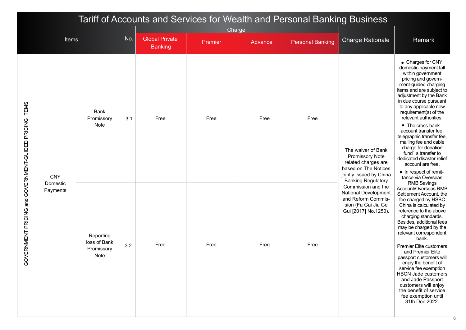| Tariff of Accounts and Services for Wealth and Personal Banking Business<br>Charge |                        |                           |                         |                |         |         |                         |                                                                                                                                                     |                                                                                                                                                                                                                                                                           |
|------------------------------------------------------------------------------------|------------------------|---------------------------|-------------------------|----------------|---------|---------|-------------------------|-----------------------------------------------------------------------------------------------------------------------------------------------------|---------------------------------------------------------------------------------------------------------------------------------------------------------------------------------------------------------------------------------------------------------------------------|
|                                                                                    | Items                  |                           | <b>Charge Rationale</b> | Remark         |         |         |                         |                                                                                                                                                     |                                                                                                                                                                                                                                                                           |
|                                                                                    |                        |                           |                         | <b>Banking</b> | Premier | Advance | <b>Personal Banking</b> |                                                                                                                                                     |                                                                                                                                                                                                                                                                           |
|                                                                                    |                        | Bank<br>Promissory        | 3.1                     | Free           | Free    | Free    | Free                    |                                                                                                                                                     | • Charges for CNY<br>domestic payment fall<br>within government<br>pricing and govern-<br>ment-guided charging<br>items and are subject to<br>adjustment by the Bank<br>in due course pursuant<br>to any applicable new<br>requirement(s) of the<br>relevant authorities. |
| GOVERNMENT PRICING and GOVERNMENT-GUIDED PRICING ITEMS                             | <b>CNY</b><br>Domestic | Note                      |                         |                |         |         |                         | The waiver of Bank<br><b>Promissory Note</b><br>related charges are<br>based on The Notices<br>jointly issued by China<br><b>Banking Regulatory</b> | • The cross-bank<br>account transfer fee,<br>telegraphic transfer fee,<br>mailing fee and cable<br>charge for donation<br>fund's transfer to<br>dedicated disaster relief<br>account are free.<br>• In respect of remit-<br>tance via Overseas<br><b>RMB Savings</b>      |
|                                                                                    | Payments               | Reporting<br>loss of Bank |                         | Free           | Free    | Free    | Free                    | Commission and the<br>National Development<br>and Reform Commis-<br>sion (Fa Gai Jia Ge<br>Gui [2017] No.1250).                                     | Account/Overseas RMB<br>Settlement Account, the<br>fee charged by HSBC<br>China is calculated by<br>reference to the above<br>charging standards.<br>Besides, additional fees<br>may be charged by the<br>relevant correspondent<br>bank.                                 |
|                                                                                    |                        | Promissory<br>Note        | 3.2                     |                |         |         |                         |                                                                                                                                                     | Premier Elite customers<br>and Premier Elite<br>passport customers will<br>enjoy the benefit of<br>service fee exemption<br><b>HBCN Jade customers</b><br>and Jade Passport<br>customers will enjoy<br>the benefit of service<br>fee exemption until<br>31th Dec 2022.    |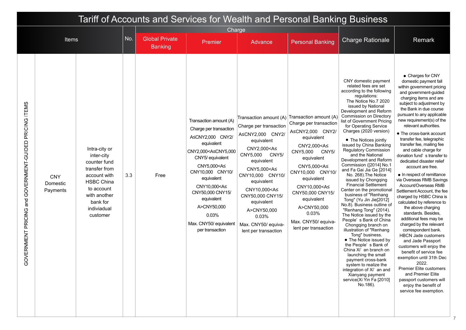| Tariff of Accounts and Services for Wealth and Personal Banking Business<br>Charge |                                    |                                                                                                                                                                        |     |                                         |                                                                                                                                                                                                                                                                                                                                                   |                                                                                                                                                                                                                                                                                                                                                      |                                                                                                                                                                                                                                                                                                                                                      |                                                                                                                                                                                                                                                                                                                                                                                                                                                                                                                                                                                                                                                                                                                                                                                                                                                                                                                                                                                                                                                                       |                                                                                                                                                                                                                                                                                                                                                                                                                                                                                                                                                                                                                                                                                                                                                                                                                                                                                                                                                                                                                                                    |
|------------------------------------------------------------------------------------|------------------------------------|------------------------------------------------------------------------------------------------------------------------------------------------------------------------|-----|-----------------------------------------|---------------------------------------------------------------------------------------------------------------------------------------------------------------------------------------------------------------------------------------------------------------------------------------------------------------------------------------------------|------------------------------------------------------------------------------------------------------------------------------------------------------------------------------------------------------------------------------------------------------------------------------------------------------------------------------------------------------|------------------------------------------------------------------------------------------------------------------------------------------------------------------------------------------------------------------------------------------------------------------------------------------------------------------------------------------------------|-----------------------------------------------------------------------------------------------------------------------------------------------------------------------------------------------------------------------------------------------------------------------------------------------------------------------------------------------------------------------------------------------------------------------------------------------------------------------------------------------------------------------------------------------------------------------------------------------------------------------------------------------------------------------------------------------------------------------------------------------------------------------------------------------------------------------------------------------------------------------------------------------------------------------------------------------------------------------------------------------------------------------------------------------------------------------|----------------------------------------------------------------------------------------------------------------------------------------------------------------------------------------------------------------------------------------------------------------------------------------------------------------------------------------------------------------------------------------------------------------------------------------------------------------------------------------------------------------------------------------------------------------------------------------------------------------------------------------------------------------------------------------------------------------------------------------------------------------------------------------------------------------------------------------------------------------------------------------------------------------------------------------------------------------------------------------------------------------------------------------------------|
|                                                                                    | Items                              |                                                                                                                                                                        | No. | <b>Global Private</b><br><b>Banking</b> | Premier                                                                                                                                                                                                                                                                                                                                           | Advance                                                                                                                                                                                                                                                                                                                                              | <b>Personal Banking</b>                                                                                                                                                                                                                                                                                                                              | <b>Charge Rationale</b>                                                                                                                                                                                                                                                                                                                                                                                                                                                                                                                                                                                                                                                                                                                                                                                                                                                                                                                                                                                                                                               | Remark                                                                                                                                                                                                                                                                                                                                                                                                                                                                                                                                                                                                                                                                                                                                                                                                                                                                                                                                                                                                                                             |
| GOVERNMENT PRICING and GOVERNMENT-GUIDED PRICING ITEMS                             | <b>CNY</b><br>Domestic<br>Payments | Intra-city or<br>inter-city<br>counter fund<br>transfer from<br>account with<br><b>HSBC China</b><br>to account<br>with another<br>bank for<br>indiviadual<br>customer | 3.3 | Free                                    | Transaction amount (A)<br>Charge per transaction<br>A≤CNY2,000 CNY2/<br>equivalent<br>CNY2,000 <a≤cny5,000<br>CNY5/ equivalent<br/>CNY5,000<a≤<br>CNY10,000 CNY10/<br/>equivalent<br/>CNY10,000<a≤<br>CNY50,000 CNY15/<br/>equivalent<br/>A&gt;CNY50,000<br/>0.03%<br/>Max. CNY50/ equivalent<br/>per transaction</a≤<br></a≤<br></a≤cny5,000<br> | Transaction amount (A)<br>Charge per transaction<br>A≤CNY2,000 CNY2/<br>equivalent<br>CNY2,000 <a≤<br>CNY5,000<br/>CNY5/<br/>equivalent<br/>CNY5,000<a≤<br>CNY10,000 CNY10/<br/>equivalent<br/>CNY10,000<a≤<br>CNY50,000 CNY15/<br/>equivalent<br/>A&gt;CNY50,000<br/>0.03%<br/>Max. CNY50/ equiva-<br/>lent per transaction</a≤<br></a≤<br></a≤<br> | Transaction amount (A)<br>Charge per transaction<br>A≤CNY2,000 CNY2/<br>equivalent<br>CNY2,000 <a≤<br>CNY5,000<br/>CNY5/<br/>equivalent<br/>CNY5,000<a≤<br>CNY10,000 CNY10/<br/>equivalent<br/>CNY10,000<a≤<br>CNY50,000 CNY15/<br/>equivalent<br/>A&gt;CNY50,000<br/>0.03%<br/>Max. CNY50/ equiva-<br/>lent per transaction</a≤<br></a≤<br></a≤<br> | CNY domestic payment<br>related fees are set<br>according to the following<br>regulations:<br>The Notice No.7 2020<br>issued by National<br>Development and Reform<br>Commission on Directory<br>list of Government Pricing<br>for Operating Service<br>Charges (2020 version)<br>• The Notices jointly<br>issued by China Banking<br><b>Regulatory Commission</b><br>and the National<br>Development and Reform<br>Commission ([2014] No.1<br>and Fa Gai Jia Ge [2014]<br>No. 268). The Notice<br>issued by Chongqing<br><b>Financial Settlement</b><br>Center on the promotional<br>business of "Renhang<br>Tong" (Yu Jin Jie[2012]<br>No.8). Business outline of<br>"Renhang Tong" (2014).<br>The Notice issued by the<br>People's Bank of China<br>Chongqing branch on<br>illustration of "Renhang"<br>Tong" business.<br>• The Notice issued by<br>the People's Bank of<br>China Xi' an branch on<br>launching the small<br>payment cross-bank<br>system to realize the<br>integration of Xi' an and<br>Xianyang payment<br>service(Xi Yin Fa [2010]<br>No.186). | • Charges for CNY<br>domestic payment fall<br>within government pricing<br>and government-guided<br>charging items and are<br>subject to adjustment by<br>the Bank in due course<br>pursuant to any applicable<br>new requirement(s) of the<br>relevant authorities.<br>• The cross-bank account<br>transfer fee, telegraphic<br>transfer fee, mailing fee<br>and cable charge for<br>donation fund's transfer to<br>dedicated disaster relief<br>account are free.<br>• In respect of remittance<br>via Overseas RMB Savings<br>Account/Overseas RMB<br>Settlement Account, the fee<br>charged by HSBC China is<br>calculated by reference to<br>the above charging<br>standards. Besides,<br>additional fees may be<br>charged by the relevant<br>correspondent bank.<br><b>HBCN Jade customers</b><br>and Jade Passport<br>customers will enjoy the<br>benefit of service fee<br>exemption until 31th Dec<br>2022.<br>Premier Elite customers<br>and Premier Elite<br>passport customers will<br>enjoy the benefit of<br>service fee exemption. |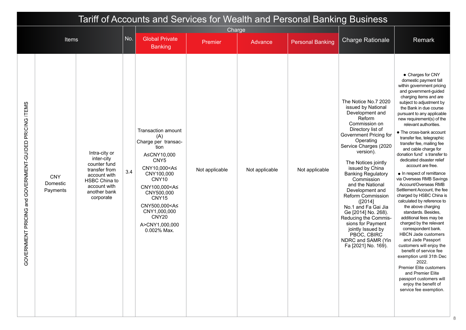|                                                        | Tariff of Accounts and Services for Wealth and Personal Banking Business<br>Charge |                                                                                                                                            |     |                                                                                                                                                                                                                                                                                                |                |                |                         |                                                                                                                                                                                                                                                                                                                                                                                                                                                                                                                                           |                                                                                                                                                                                                                                                                                                                                                                                                                                                                                                                                                                                                                                                                                                                                                                                                                                                                                                                                                                                                                                                                   |  |
|--------------------------------------------------------|------------------------------------------------------------------------------------|--------------------------------------------------------------------------------------------------------------------------------------------|-----|------------------------------------------------------------------------------------------------------------------------------------------------------------------------------------------------------------------------------------------------------------------------------------------------|----------------|----------------|-------------------------|-------------------------------------------------------------------------------------------------------------------------------------------------------------------------------------------------------------------------------------------------------------------------------------------------------------------------------------------------------------------------------------------------------------------------------------------------------------------------------------------------------------------------------------------|-------------------------------------------------------------------------------------------------------------------------------------------------------------------------------------------------------------------------------------------------------------------------------------------------------------------------------------------------------------------------------------------------------------------------------------------------------------------------------------------------------------------------------------------------------------------------------------------------------------------------------------------------------------------------------------------------------------------------------------------------------------------------------------------------------------------------------------------------------------------------------------------------------------------------------------------------------------------------------------------------------------------------------------------------------------------|--|
|                                                        |                                                                                    |                                                                                                                                            | No. | <b>Global Private</b>                                                                                                                                                                                                                                                                          |                |                |                         |                                                                                                                                                                                                                                                                                                                                                                                                                                                                                                                                           |                                                                                                                                                                                                                                                                                                                                                                                                                                                                                                                                                                                                                                                                                                                                                                                                                                                                                                                                                                                                                                                                   |  |
|                                                        | <b>Items</b>                                                                       |                                                                                                                                            |     | <b>Banking</b>                                                                                                                                                                                                                                                                                 | Premier        | Advance        | <b>Personal Banking</b> | <b>Charge Rationale</b>                                                                                                                                                                                                                                                                                                                                                                                                                                                                                                                   | Remark                                                                                                                                                                                                                                                                                                                                                                                                                                                                                                                                                                                                                                                                                                                                                                                                                                                                                                                                                                                                                                                            |  |
| GOVERNMENT PRICING and GOVERNMENT-GUIDED PRICING ITEMS | <b>CNY</b><br>Domestic<br>Payments                                                 | Intra-city or<br>inter-city<br>counter fund<br>transfer from<br>account with<br>HSBC China to<br>account with<br>another bank<br>corporate | 3.4 | <b>Transaction amount</b><br>(A)<br>Charge per transac-<br>tion<br>A≤CNY10,000<br>CNY5<br>CNY10,000 <a≤<br>CNY100,000<br/>CNY10<br/>CNY100,000<a≤<br>CNY500,000<br/>CNY15<br/>CNY500,000<a≤<br>CNY1,000,000<br/>CNY<sub>20</sub><br/>A&gt;CNY1,000,000<br/>0.002% Max.</a≤<br></a≤<br></a≤<br> | Not applicable | Not applicable | Not applicable          | The Notice No.7 2020<br>issued by National<br>Development and<br>Reform<br>Commission on<br>Directory list of<br>Government Pricing for<br>Operating<br>Service Charges (2020<br>version).<br>The Notices jointly<br>issued by China<br><b>Banking Regulatory</b><br>Commission<br>and the National<br>Development and<br><b>Reform Commission</b><br>([2014]<br>No.1 and Fa Gai Jia<br>Ge [2014] No. 268).<br>Reducing the Commis-<br>sions for Payment<br>jointly Issued by<br>PBOC, CBIRC<br>NDRC and SAMR (Yin<br>Fa [2021] No. 169). | • Charges for CNY<br>domestic payment fall<br>within government pricing<br>and government-guided<br>charging items and are<br>subject to adjustment by<br>the Bank in due course<br>pursuant to any applicable<br>new requirement(s) of the<br>relevant authorities.<br>• The cross-bank account<br>transfer fee, telegraphic<br>transfer fee, mailing fee<br>and cable charge for<br>donation fund's transfer to<br>dedicated disaster relief<br>account are free.<br>$\bullet$ In respect of remittance<br>via Overseas RMB Savings<br>Account/Overseas RMB<br>Settlement Account, the fee<br>charged by HSBC China is<br>calculated by reference to<br>the above charging<br>standards. Besides,<br>additional fees may be<br>charged by the relevant<br>correspondent bank.<br><b>HBCN Jade customers</b><br>and Jade Passport<br>customers will enjoy the<br>benefit of service fee<br>exemption until 31th Dec<br>2022.<br><b>Premier Elite customers</b><br>and Premier Elite<br>passport customers will<br>enjoy the benefit of<br>service fee exemption. |  |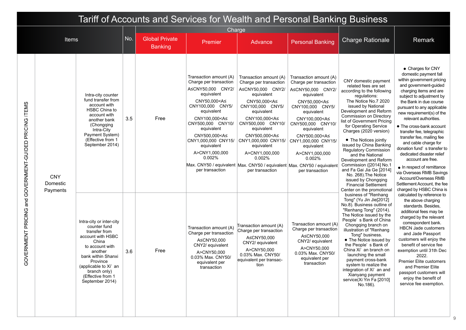|                                                           | Tariff of Accounts and Services for Wealth and Personal Banking Business |                                                                                                                                                                                                                                          |           |                                         |                                                                                                                                                                                                                                                                                                                                    |                                                                                                                                                                                                                                                                                                                                                                                                                |                                                                                                                                                                                                                                                                                                                                    |                                                                                                                                                                                                                                                                                                                                                                                                                                                                                                                                                                                    |                                                                                                                                                                                                                                                                                                                                                                                                                                                                                                                                                                                                                  |  |  |
|-----------------------------------------------------------|--------------------------------------------------------------------------|------------------------------------------------------------------------------------------------------------------------------------------------------------------------------------------------------------------------------------------|-----------|-----------------------------------------|------------------------------------------------------------------------------------------------------------------------------------------------------------------------------------------------------------------------------------------------------------------------------------------------------------------------------------|----------------------------------------------------------------------------------------------------------------------------------------------------------------------------------------------------------------------------------------------------------------------------------------------------------------------------------------------------------------------------------------------------------------|------------------------------------------------------------------------------------------------------------------------------------------------------------------------------------------------------------------------------------------------------------------------------------------------------------------------------------|------------------------------------------------------------------------------------------------------------------------------------------------------------------------------------------------------------------------------------------------------------------------------------------------------------------------------------------------------------------------------------------------------------------------------------------------------------------------------------------------------------------------------------------------------------------------------------|------------------------------------------------------------------------------------------------------------------------------------------------------------------------------------------------------------------------------------------------------------------------------------------------------------------------------------------------------------------------------------------------------------------------------------------------------------------------------------------------------------------------------------------------------------------------------------------------------------------|--|--|
|                                                           |                                                                          |                                                                                                                                                                                                                                          |           |                                         | Charge                                                                                                                                                                                                                                                                                                                             |                                                                                                                                                                                                                                                                                                                                                                                                                |                                                                                                                                                                                                                                                                                                                                    |                                                                                                                                                                                                                                                                                                                                                                                                                                                                                                                                                                                    |                                                                                                                                                                                                                                                                                                                                                                                                                                                                                                                                                                                                                  |  |  |
|                                                           | Items                                                                    |                                                                                                                                                                                                                                          | <b>No</b> | <b>Global Private</b><br><b>Banking</b> | Premier                                                                                                                                                                                                                                                                                                                            | Advance                                                                                                                                                                                                                                                                                                                                                                                                        | <b>Personal Banking</b>                                                                                                                                                                                                                                                                                                            | <b>Charge Rationale</b>                                                                                                                                                                                                                                                                                                                                                                                                                                                                                                                                                            | Remark                                                                                                                                                                                                                                                                                                                                                                                                                                                                                                                                                                                                           |  |  |
| PRICING ITEMS<br>GOVERNMENT PRICING and GOVERNMENT-GUIDED | <b>CNY</b><br>Domestic<br>Payments                                       | Intra-city counter<br>fund transfer from<br>account with<br>HSBC China to<br>account with<br>another bank<br>(Chongqing<br>Intra-City<br>Payment System)<br>(Effective from 1<br>September 2014)                                         | 3.5       | Free                                    | Transaction amount (A)<br>Charge per transaction<br>A≤CNY50,000 CNY2/<br>equivalent<br>CNY50,000 <a≤<br>CNY100,000 CNY5/<br/>equivalent<br/>CNY100,000<a≤<br>CNY500.000 CNY10/<br/>equivalent<br/>CNY500,000<a≤<br>CNY1,000,000 CNY15/<br/>equivalent<br/>A&gt;CNY1,000,000<br/>0.002%<br/>per transaction</a≤<br></a≤<br></a≤<br> | Transaction amount (A)<br>Charge per transaction<br>A≤CNY50,000 CNY2/<br>equivalent<br>CNY50,000 <a≤<br>CNY100,000 CNY5/<br/>equivalent<br/>CNY100,000<a≤<br>CNY500.000 CNY10/<br/>equivalent<br/>CNY500,000<a≤<br>CNY1,000,000 CNY15/<br/>equivalent<br/>A&gt;CNY1,000,000<br/>0.002%<br/>Max. CNY50 / equivalent Max. CNY50 / equivalent Max. CNY50 / equivalent<br/>per transaction</a≤<br></a≤<br></a≤<br> | Transaction amount (A)<br>Charge per transaction<br>A≤CNY50.000 CNY2/<br>equivalent<br>CNY50,000 <a≤<br>CNY100,000 CNY5/<br/>equivalent<br/>CNY100,000<a≤<br>CNY500,000 CNY10/<br/>equivalent<br/>CNY500,000<a≤<br>CNY1,000,000 CNY15/<br/>equivalent<br/>A&gt;CNY1,000,000<br/>0.002%<br/>per transaction</a≤<br></a≤<br></a≤<br> | CNY domestic payment<br>related fees are set<br>according to the following<br>regulations:<br>The Notice No.7 2020<br>issued by National<br>Development and Reform<br>Commission on Directory<br>list of Government Pricing<br>for Operating Service<br>Charges (2020 version)<br>• The Notices jointly<br>issued by China Banking<br><b>Regulatory Commission</b><br>and the National<br>Development and Reform<br>Commission ([2014] No.1<br>and Fa Gai Jia Ge [2014]<br>No. 268). The Notice<br>issued by Chongqing<br><b>Financial Settlement</b><br>Center on the promotional | • Charges for CNY<br>domestic payment fall<br>within government pricing<br>and government-guided<br>charging items and are<br>subject to adjustment by<br>the Bank in due course<br>pursuant to any applicable<br>new requirement(s) of the<br>relevant authorities.<br>• The cross-bank account<br>transfer fee, telegraphic<br>transfer fee, mailing fee<br>and cable charge for<br>donation fund's transfer to<br>dedicated disaster relief<br>account are free.<br>• In respect of remittance<br>via Overseas RMB Savings<br>Account/Overseas RMB<br>Settlement Account, the fee<br>charged by HSBC China is |  |  |
|                                                           |                                                                          | Intra-city or inter-city<br>counter fund<br>transfer from<br>account with HSBC<br>China<br>to account with<br>another<br>bank within Shanxi<br>Province<br>(applicable to Xi' an<br>branch only)<br>(Effective from 1<br>September 2014) | 3.6       | Free                                    | Transaction amount (A)<br>Charge per transaction<br>A≤CNY50,000<br>CNY2/ equivalent<br>A>CNY50,000<br>0.03% Max. CNY50/<br>equivalent per<br>transaction                                                                                                                                                                           | Transaction amount (A)<br>Charge per transaction<br>A≤CNY50,000<br>CNY2/ equivalent<br>A>CNY50,000<br>0.03% Max. CNY50/<br>equivalent per transac-<br>tion                                                                                                                                                                                                                                                     | Transaction amount (A)<br>Charge per transaction<br>A≤CNY50,000<br>CNY2/ equivalent<br>A>CNY50,000<br>0.03% Max. CNY50/<br>equivalent per<br>transaction                                                                                                                                                                           | business of "Renhang<br>Tong" (Yu Jin Jie[2012]<br>No.8). Business outline of<br>"Renhang Tong" (2014).<br>The Notice issued by the<br>People's Bank of China<br>Chongqing branch on<br>illustration of "Renhang<br>Tong" business.<br>• The Notice issued by<br>the People's Bank of<br>China Xi' an branch on<br>launching the small<br>payment cross-bank<br>system to realize the<br>integration of Xi' an and<br>Xianyang payment<br>service(Xi Yin Fa [2010]<br>No.186).                                                                                                     | calculated by reference to<br>the above charging<br>standards. Besides,<br>additional fees may be<br>charged by the relevant<br>correspondent bank.<br><b>HBCN Jade customers</b><br>and Jade Passport<br>customers will enjoy the<br>benefit of service fee<br>exemption until 31th Dec<br>2022.<br><b>Premier Elite customers</b><br>and Premier Elite<br>passport customers will<br>enjoy the benefit of<br>service fee exemption.                                                                                                                                                                            |  |  |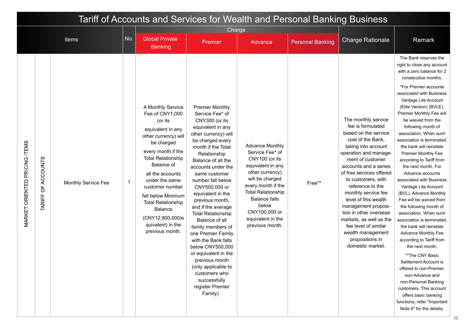| Tariff of Accounts and Services for Wealth and Personal Banking Business<br>Charge<br><b>No</b><br><b>Global Private</b><br><b>Items</b><br><b>Charge Rationale</b><br><b>Personal Banking</b><br>Premier<br>Advance<br><b>Banking</b> |                       |                     |              |                                                                                                                                                                                                                                                                                                                                                                       |                                                                                                                                                                                                                                                                                                                                                                                                                                                                                                                                                                                                            |                                                                                                                                                                                                                                                                     |        |                                                                                                                                                                                                                                                                                                                                                                                                                                                                         |                                                                                                                                                                                                                                                                                                                                                                                                                                                                                                                                                                                                                                                                                                                                                                                                                                                                                                                                                                                                      |
|----------------------------------------------------------------------------------------------------------------------------------------------------------------------------------------------------------------------------------------|-----------------------|---------------------|--------------|-----------------------------------------------------------------------------------------------------------------------------------------------------------------------------------------------------------------------------------------------------------------------------------------------------------------------------------------------------------------------|------------------------------------------------------------------------------------------------------------------------------------------------------------------------------------------------------------------------------------------------------------------------------------------------------------------------------------------------------------------------------------------------------------------------------------------------------------------------------------------------------------------------------------------------------------------------------------------------------------|---------------------------------------------------------------------------------------------------------------------------------------------------------------------------------------------------------------------------------------------------------------------|--------|-------------------------------------------------------------------------------------------------------------------------------------------------------------------------------------------------------------------------------------------------------------------------------------------------------------------------------------------------------------------------------------------------------------------------------------------------------------------------|------------------------------------------------------------------------------------------------------------------------------------------------------------------------------------------------------------------------------------------------------------------------------------------------------------------------------------------------------------------------------------------------------------------------------------------------------------------------------------------------------------------------------------------------------------------------------------------------------------------------------------------------------------------------------------------------------------------------------------------------------------------------------------------------------------------------------------------------------------------------------------------------------------------------------------------------------------------------------------------------------|
|                                                                                                                                                                                                                                        |                       |                     |              |                                                                                                                                                                                                                                                                                                                                                                       |                                                                                                                                                                                                                                                                                                                                                                                                                                                                                                                                                                                                            |                                                                                                                                                                                                                                                                     |        |                                                                                                                                                                                                                                                                                                                                                                                                                                                                         |                                                                                                                                                                                                                                                                                                                                                                                                                                                                                                                                                                                                                                                                                                                                                                                                                                                                                                                                                                                                      |
|                                                                                                                                                                                                                                        |                       |                     |              |                                                                                                                                                                                                                                                                                                                                                                       |                                                                                                                                                                                                                                                                                                                                                                                                                                                                                                                                                                                                            |                                                                                                                                                                                                                                                                     |        |                                                                                                                                                                                                                                                                                                                                                                                                                                                                         | Remark                                                                                                                                                                                                                                                                                                                                                                                                                                                                                                                                                                                                                                                                                                                                                                                                                                                                                                                                                                                               |
| MARKET ORIENTED PRICING ITEMS                                                                                                                                                                                                          | OF ACCOUNTS<br>TARIFF | Monthly Service Fee | $\mathbf{1}$ | A Monthly Service<br>Fee of CNY1,000<br>(or its<br>equivalent in any<br>other currency) will<br>be charged<br>every month if the<br><b>Total Relationship</b><br>Balance of<br>all the accounts<br>under the same<br>customer number<br>fall below Minimum<br><b>Total Relationship</b><br><b>Balance</b><br>(CNY12,800,000/e<br>quivalent) in the<br>previous month. | <b>Premier Monthly</b><br>Service Fee* of<br>CNY300 (or its<br>equivalent in any<br>other currency) will<br>be charged every<br>month if the Total<br>Relationship<br>Balance of all the<br>accounts under the<br>same customer<br>number fall below<br>CNY500,000 or<br>equivalent in the<br>previous month,<br>and if the average<br><b>Total Relationship</b><br>Balance of all<br>family members of<br>one Premier Family<br>with the Bank falls<br>below CNY500,000<br>or equivalent in the<br>previous month<br>(only applicable to<br>customers who<br>successfully<br>register Premier<br>Family). | <b>Advance Monthly</b><br>Service Fee* of<br>CNY100 (or its<br>equivalent in any<br>other currency)<br>will be charged<br>every month if the<br><b>Total Relationship</b><br><b>Balance falls</b><br>below<br>CNY100,000 or<br>equivalent in the<br>previous month. | Free** | The monthly service<br>fee is formulated<br>based on the service<br>cost of the Bank,<br>taking into account<br>operation and manage-<br>ment of customer<br>accounts and a series<br>of free services offered<br>to customers, with<br>reference to the<br>monthly service fee<br>level of this wealth<br>management proposi-<br>tion in other overseas<br>markets, as well as the<br>fee level of similar<br>wealth management<br>propositions in<br>domestic market. | The Bank reserves the<br>right to close any account<br>with a zero balance for 2<br>consecutive months.<br>*For Premier accounts<br>associated with Business<br>Vantage Lite Account<br>(Elite Version) (BVLE),<br>Premier Monthly Fee will<br>be waived from the<br>following month of<br>association. When such<br>association is terminated.<br>the bank will reinstate<br>Premier Monthly Fee<br>according to Tariff from<br>the next month. For<br>Advance accounts<br>associated with Business<br>Vantage Lite Account<br>(BVL), Advance Monthly<br>Fee will be waived from<br>the following month of<br>association. When such<br>association is terminated.<br>the bank will reinstate<br>Advance Monthly Fee<br>according to Tariff from<br>the next month.<br>**The CNY Basic<br>Settlement Account is<br>offered to non-Premier,<br>non-Advance and<br>non-Personal Banking<br>customers. This account<br>offers basic banking<br>functions, refer "Important<br>Note 6" for the details. |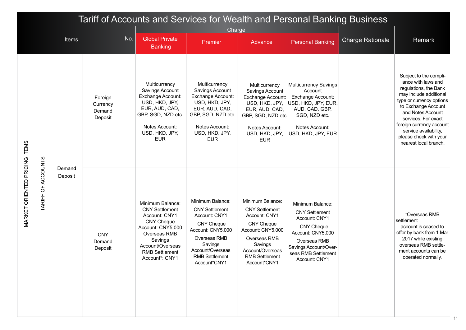| Tariff of Accounts and Services for Wealth and Personal Banking Business<br>Charge |                       |         |                                          |     |                                                                                                                                                                                                |                                                                                                                                                                                              |                                                                                                                                                                                              |                                                                                                                                                                                       |                         |                                                                                                                                                                                                                                                                                                        |
|------------------------------------------------------------------------------------|-----------------------|---------|------------------------------------------|-----|------------------------------------------------------------------------------------------------------------------------------------------------------------------------------------------------|----------------------------------------------------------------------------------------------------------------------------------------------------------------------------------------------|----------------------------------------------------------------------------------------------------------------------------------------------------------------------------------------------|---------------------------------------------------------------------------------------------------------------------------------------------------------------------------------------|-------------------------|--------------------------------------------------------------------------------------------------------------------------------------------------------------------------------------------------------------------------------------------------------------------------------------------------------|
|                                                                                    |                       |         |                                          |     |                                                                                                                                                                                                |                                                                                                                                                                                              |                                                                                                                                                                                              |                                                                                                                                                                                       |                         |                                                                                                                                                                                                                                                                                                        |
|                                                                                    |                       | Items   |                                          | No. | <b>Global Private</b><br><b>Banking</b>                                                                                                                                                        | Premier                                                                                                                                                                                      | Advance                                                                                                                                                                                      | <b>Personal Banking</b>                                                                                                                                                               | <b>Charge Rationale</b> | Remark                                                                                                                                                                                                                                                                                                 |
|                                                                                    |                       | Demand  | Foreign<br>Currency<br>Demand<br>Deposit |     | Multicurrency<br>Savings Account<br>Exchange Account:<br>USD, HKD, JPY,<br>EUR, AUD, CAD,<br>GBP, SGD, NZD etc.<br>Notes Account:<br>USD, HKD, JPY,<br><b>EUR</b>                              | Multicurrency<br>Savings Account<br>Exchange Account:<br>USD, HKD, JPY,<br>EUR, AUD, CAD,<br>GBP, SGD, NZD etc.<br>Notes Account:<br>USD, HKD, JPY,<br><b>EUR</b>                            | Multicurrency<br>Savings Account<br>Exchange Account:<br>USD, HKD, JPY,<br>EUR, AUD, CAD,<br>GBP, SGD, NZD etc.<br>Notes Account:<br>USD, HKD, JPY,<br><b>EUR</b>                            | <b>Multicurrency Savings</b><br>Account<br>Exchange Account:<br>USD, HKD, JPY, EUR,<br>AUD, CAD, GBP,<br>SGD, NZD etc.<br>Notes Account:<br>USD, HKD, JPY, EUR                        |                         | Subject to the compli-<br>ance with laws and<br>regulations, the Bank<br>may include additional<br>type or currency options<br>to Exchange Account<br>and Notes Account<br>services. For exact<br>foreign currency account<br>service availability,<br>please check with your<br>nearest local branch. |
| MARKET ORIENTED PRICING ITEMS                                                      | OF ACCOUNTS<br>TARIFF | Deposit | <b>CNY</b><br>Demand<br>Deposit          |     | Minimum Balance:<br><b>CNY Settlement</b><br>Account: CNY1<br><b>CNY Cheque</b><br>Account: CNY5,000<br>Overseas RMB<br>Savings<br>Account/Overseas<br><b>RMB Settlement</b><br>Account*: CNY1 | Minimum Balance:<br><b>CNY Settlement</b><br>Account: CNY1<br><b>CNY Cheque</b><br>Account: CNY5,000<br>Overseas RMB<br>Savings<br>Account/Overseas<br><b>RMB Settlement</b><br>Account*CNY1 | Minimum Balance:<br><b>CNY Settlement</b><br>Account: CNY1<br><b>CNY Cheque</b><br>Account: CNY5,000<br>Overseas RMB<br>Savings<br>Account/Overseas<br><b>RMB Settlement</b><br>Account*CNY1 | Minimum Balance:<br><b>CNY Settlement</b><br>Account: CNY1<br><b>CNY Cheque</b><br>Account: CNY5,000<br>Overseas RMB<br>Savings Account/Over-<br>seas RMB Settlement<br>Account: CNY1 |                         | *Overseas RMB<br>settlement<br>account is ceased to<br>offer by bank from 1 Mar<br>2017 while existing<br>overseas RMB settle-<br>ment accounts can be<br>operated normally.                                                                                                                           |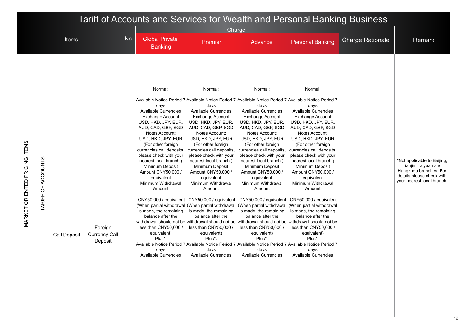|                                      | Tariff of Accounts and Services for Wealth and Personal Banking Business<br>Charge |                     |                                            |     |                                                                                                                                                                                                                                                                                                                                                                                                                                                                                                                                                                                                                                                                                                                                         |                                                                                                                                                                                                                                                                                                                                                                                                                                                                                                                                                                                                                                                                                                                                             |                                                                                                                                                                                                                                                                                                                                                                                                                                                                                                                          |                                                                                                                                                                                                                                                                                                                                                                                                                                                                                                                   |                         |                                                                                                                                          |
|--------------------------------------|------------------------------------------------------------------------------------|---------------------|--------------------------------------------|-----|-----------------------------------------------------------------------------------------------------------------------------------------------------------------------------------------------------------------------------------------------------------------------------------------------------------------------------------------------------------------------------------------------------------------------------------------------------------------------------------------------------------------------------------------------------------------------------------------------------------------------------------------------------------------------------------------------------------------------------------------|---------------------------------------------------------------------------------------------------------------------------------------------------------------------------------------------------------------------------------------------------------------------------------------------------------------------------------------------------------------------------------------------------------------------------------------------------------------------------------------------------------------------------------------------------------------------------------------------------------------------------------------------------------------------------------------------------------------------------------------------|--------------------------------------------------------------------------------------------------------------------------------------------------------------------------------------------------------------------------------------------------------------------------------------------------------------------------------------------------------------------------------------------------------------------------------------------------------------------------------------------------------------------------|-------------------------------------------------------------------------------------------------------------------------------------------------------------------------------------------------------------------------------------------------------------------------------------------------------------------------------------------------------------------------------------------------------------------------------------------------------------------------------------------------------------------|-------------------------|------------------------------------------------------------------------------------------------------------------------------------------|
|                                      |                                                                                    |                     |                                            |     |                                                                                                                                                                                                                                                                                                                                                                                                                                                                                                                                                                                                                                                                                                                                         |                                                                                                                                                                                                                                                                                                                                                                                                                                                                                                                                                                                                                                                                                                                                             |                                                                                                                                                                                                                                                                                                                                                                                                                                                                                                                          |                                                                                                                                                                                                                                                                                                                                                                                                                                                                                                                   |                         |                                                                                                                                          |
|                                      |                                                                                    | Items               |                                            | No. | <b>Global Private</b><br><b>Banking</b>                                                                                                                                                                                                                                                                                                                                                                                                                                                                                                                                                                                                                                                                                                 | Premier                                                                                                                                                                                                                                                                                                                                                                                                                                                                                                                                                                                                                                                                                                                                     | Advance                                                                                                                                                                                                                                                                                                                                                                                                                                                                                                                  | <b>Personal Banking</b>                                                                                                                                                                                                                                                                                                                                                                                                                                                                                           | <b>Charge Rationale</b> | Remark                                                                                                                                   |
| <b>MARKET ORIENTED PRICING ITEMS</b> | OF ACCOUNTS<br><b>TARIFF</b>                                                       | <b>Call Deposit</b> | Foreign<br><b>Currency Call</b><br>Deposit |     | Normal:<br>Available Notice Period 7 Available Notice Period 7 Available Notice Period 7 Available Notice Period 7<br>days<br><b>Available Currencies</b><br>Exchange Account:<br>USD, HKD, JPY, EUR,<br>AUD, CAD, GBP, SGD<br>Notes Account:<br>USD, HKD, JPY, EUR<br>(For other foreign<br>currencies call deposits, currencies call deposits,<br>please check with your<br>nearest local branch.)<br>Minimum Deposit<br>Amount CNY50,000 /<br>equivalent<br>Minimum Withdrawal<br>Amount<br>is made, the remaining<br>balance after the<br>less than CNY50,000 /<br>equivalent)<br>Plus*:<br>Available Notice Period 7 Available Notice Period 7 Available Notice Period 7 Available Notice Period 7<br>days<br>Available Currencies | Normal:<br>days<br><b>Available Currencies</b><br><b>Exchange Account:</b><br>USD, HKD, JPY, EUR,<br>AUD, CAD, GBP, SGD<br>Notes Account:<br>USD, HKD, JPY, EUR<br>(For other foreign<br>please check with your<br>nearest local branch.)<br>Minimum Deposit<br>Amount CNY50,000 /<br>equivalent<br>Minimum Withdrawal<br>Amount<br>CNY50,000 / equivalent   CNY50,000 / equivalent  <br>(When partial withdrawal (When partial withdrawal (When partial withdrawal (When partial withdrawal<br>is made, the remaining<br>balance after the<br>withdrawal should not be withdrawal should not be withdrawal should not be withdrawal should not be<br>less than CNY50,000 /<br>equivalent)<br>Plus*:<br>days<br><b>Available Currencies</b> | Normal:<br>days<br><b>Available Currencies</b><br>Exchange Account:<br>USD, HKD, JPY, EUR,<br>AUD, CAD, GBP, SGD<br>Notes Account:<br>USD, HKD, JPY, EUR<br>(For other foreign<br>currencies call deposits,<br>please check with your<br>nearest local branch.)<br>Minimum Deposit<br>Amount CNY50,000 /<br>equivalent<br>Minimum Withdrawal<br>Amount<br>CNY50,000 / equivalent<br>is made, the remaining<br>balance after the<br>less than CNY50,000 /<br>equivalent)<br>Plus*:<br>days<br><b>Available Currencies</b> | Normal:<br>days<br><b>Available Currencies</b><br>Exchange Account:<br>USD, HKD, JPY, EUR,<br>AUD, CAD, GBP, SGD<br>Notes Account:<br>USD, HKD, JPY, EUR<br>(For other foreign<br>currencies call deposits,<br>please check with your<br>nearest local branch.)<br>Minimum Deposit<br>Amount CNY50,000 /<br>equivalent<br>Minimum Withdrawal<br>Amount<br>CNY50,000 / equivalent<br>is made, the remaining<br>balance after the<br>less than CNY50,000 /<br>equivalent)<br>Plus*:<br>days<br>Available Currencies |                         | *Not applicable to Beijing,<br>Tianjin, Taiyuan and<br>Hangzhou branches. For<br>details please check with<br>your nearest local branch. |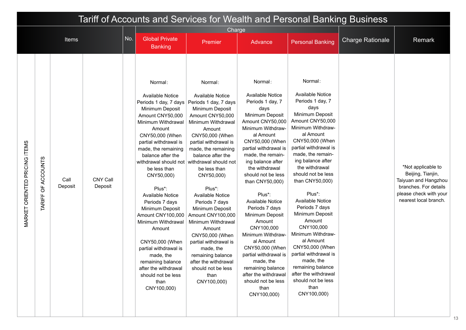|                                      | Tariff of Accounts and Services for Wealth and Personal Banking Business<br>Charge |                 |                            |     |                                                                                                                                                                                                                                                                                                                                                                                                                                                                                                                                            |                                                                                                                                                                                                                                                                                                                                                                                                                                                                                                                                                                                           |                                                                                                                                                                                                                                                                                                                                                                                                                                                                                                                                                                                 |                                                                                                                                                                                                                                                                                                                                                                                                                                                                                                                                                                                 |                         |                                                                                                                                             |
|--------------------------------------|------------------------------------------------------------------------------------|-----------------|----------------------------|-----|--------------------------------------------------------------------------------------------------------------------------------------------------------------------------------------------------------------------------------------------------------------------------------------------------------------------------------------------------------------------------------------------------------------------------------------------------------------------------------------------------------------------------------------------|-------------------------------------------------------------------------------------------------------------------------------------------------------------------------------------------------------------------------------------------------------------------------------------------------------------------------------------------------------------------------------------------------------------------------------------------------------------------------------------------------------------------------------------------------------------------------------------------|---------------------------------------------------------------------------------------------------------------------------------------------------------------------------------------------------------------------------------------------------------------------------------------------------------------------------------------------------------------------------------------------------------------------------------------------------------------------------------------------------------------------------------------------------------------------------------|---------------------------------------------------------------------------------------------------------------------------------------------------------------------------------------------------------------------------------------------------------------------------------------------------------------------------------------------------------------------------------------------------------------------------------------------------------------------------------------------------------------------------------------------------------------------------------|-------------------------|---------------------------------------------------------------------------------------------------------------------------------------------|
|                                      |                                                                                    |                 |                            |     |                                                                                                                                                                                                                                                                                                                                                                                                                                                                                                                                            |                                                                                                                                                                                                                                                                                                                                                                                                                                                                                                                                                                                           |                                                                                                                                                                                                                                                                                                                                                                                                                                                                                                                                                                                 |                                                                                                                                                                                                                                                                                                                                                                                                                                                                                                                                                                                 |                         |                                                                                                                                             |
|                                      |                                                                                    | <b>Items</b>    |                            | No. | <b>Global Private</b><br><b>Banking</b>                                                                                                                                                                                                                                                                                                                                                                                                                                                                                                    | Premier                                                                                                                                                                                                                                                                                                                                                                                                                                                                                                                                                                                   | Advance                                                                                                                                                                                                                                                                                                                                                                                                                                                                                                                                                                         | <b>Personal Banking</b>                                                                                                                                                                                                                                                                                                                                                                                                                                                                                                                                                         | <b>Charge Rationale</b> | Remark                                                                                                                                      |
| <b>MARKET ORIENTED PRICING ITEMS</b> | OF ACCOUNTS<br><b>TARIFF</b>                                                       | Call<br>Deposit | <b>CNY Call</b><br>Deposit |     | Normal:<br><b>Available Notice</b><br>Periods 1 day, 7 days<br>Minimum Deposit<br>Amount CNY50,000<br>Minimum Withdrawal<br>Amount<br>CNY50,000 (When<br>partial withdrawal is<br>made, the remaining<br>balance after the<br>be less than<br>CNY50,000)<br>Plus*:<br><b>Available Notice</b><br>Periods 7 days<br>Minimum Deposit<br>Amount CNY100,000<br>Minimum Withdrawal<br>Amount<br>CNY50,000 (When<br>partial withdrawal is<br>made, the<br>remaining balance<br>after the withdrawal<br>should not be less<br>than<br>CNY100,000) | Normal:<br><b>Available Notice</b><br>Periods 1 day, 7 days<br>Minimum Deposit<br>Amount CNY50,000<br>Minimum Withdrawal<br>Amount<br>CNY50,000 (When<br>partial withdrawal is<br>made, the remaining<br>balance after the<br>withdrawal should not withdrawal should not<br>be less than<br>CNY50,000)<br>Plus*:<br><b>Available Notice</b><br>Periods 7 days<br>Minimum Deposit<br>Amount CNY100,000<br>Minimum Withdrawal<br>Amount<br>CNY50,000 (When<br>partial withdrawal is<br>made, the<br>remaining balance<br>after the withdrawal<br>should not be less<br>than<br>CNY100,000) | Normal:<br><b>Available Notice</b><br>Periods 1 day, 7<br>days<br>Minimum Deposit<br>Amount CNY50,000<br>Minimum Withdraw-<br>al Amount<br>CNY50,000 (When<br>partial withdrawal is<br>made, the remain-<br>ing balance after<br>the withdrawal<br>should not be less<br>than CNY50,000)<br>Plus*:<br><b>Available Notice</b><br>Periods 7 days<br>Minimum Deposit<br>Amount<br>CNY100,000<br>Minimum Withdraw-<br>al Amount<br>CNY50,000 (When<br>partial withdrawal is<br>made, the<br>remaining balance<br>after the withdrawal<br>should not be less<br>than<br>CNY100,000) | Normal:<br><b>Available Notice</b><br>Periods 1 day, 7<br>days<br>Minimum Deposit<br>Amount CNY50,000<br>Minimum Withdraw-<br>al Amount<br>CNY50,000 (When<br>partial withdrawal is<br>made, the remain-<br>ing balance after<br>the withdrawal<br>should not be less<br>than CNY50,000)<br>Plus*:<br><b>Available Notice</b><br>Periods 7 days<br>Minimum Deposit<br>Amount<br>CNY100,000<br>Minimum Withdraw-<br>al Amount<br>CNY50,000 (When<br>partial withdrawal is<br>made, the<br>remaining balance<br>after the withdrawal<br>should not be less<br>than<br>CNY100,000) |                         | *Not applicable to<br>Beijing, Tianjin,<br>Taiyuan and Hangzhou<br>branches. For details<br>please check with your<br>nearest local branch. |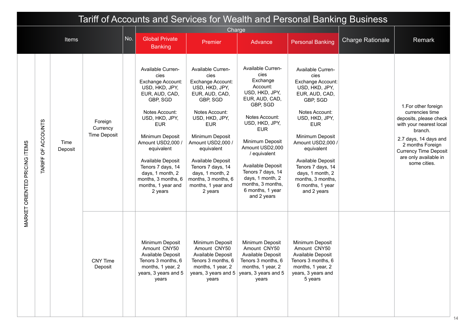|                               | Tariff of Accounts and Services for Wealth and Personal Banking Business<br>Charge |                 |                                            |     |                                                                                                                                                                                                                                                                                                                              |                                                                                                                                                                                                                                                                                                                              |                                                                                                                                                                                                                                                                                                                                 |                                                                                                                                                                                                                                                                                                                              |                         |                                                                                                                                                                                                                               |
|-------------------------------|------------------------------------------------------------------------------------|-----------------|--------------------------------------------|-----|------------------------------------------------------------------------------------------------------------------------------------------------------------------------------------------------------------------------------------------------------------------------------------------------------------------------------|------------------------------------------------------------------------------------------------------------------------------------------------------------------------------------------------------------------------------------------------------------------------------------------------------------------------------|---------------------------------------------------------------------------------------------------------------------------------------------------------------------------------------------------------------------------------------------------------------------------------------------------------------------------------|------------------------------------------------------------------------------------------------------------------------------------------------------------------------------------------------------------------------------------------------------------------------------------------------------------------------------|-------------------------|-------------------------------------------------------------------------------------------------------------------------------------------------------------------------------------------------------------------------------|
|                               |                                                                                    |                 |                                            |     |                                                                                                                                                                                                                                                                                                                              |                                                                                                                                                                                                                                                                                                                              |                                                                                                                                                                                                                                                                                                                                 |                                                                                                                                                                                                                                                                                                                              |                         |                                                                                                                                                                                                                               |
|                               |                                                                                    | <b>Items</b>    |                                            | No. | <b>Global Private</b><br><b>Banking</b>                                                                                                                                                                                                                                                                                      | Premier                                                                                                                                                                                                                                                                                                                      | Advance                                                                                                                                                                                                                                                                                                                         | <b>Personal Banking</b>                                                                                                                                                                                                                                                                                                      | <b>Charge Rationale</b> | Remark                                                                                                                                                                                                                        |
| MARKET ORIENTED PRICING ITEMS | <b>ACCOUNTS</b><br>$\overline{5}$<br>TARIFF                                        | Time<br>Deposit | Foreign<br>Currency<br><b>Time Deposit</b> |     | Available Curren-<br>cies<br>Exchange Account:<br>USD, HKD, JPY,<br>EUR, AUD, CAD,<br>GBP, SGD<br>Notes Account:<br>USD, HKD, JPY,<br><b>EUR</b><br>Minimum Deposit<br>Amount USD2,000 /<br>equivalent<br>Available Deposit<br>Tenors 7 days, 14<br>days, 1 month, 2<br>months, 3 months, 6<br>months, 1 year and<br>2 years | Available Curren-<br>cies<br>Exchange Account:<br>USD, HKD, JPY,<br>EUR, AUD, CAD,<br>GBP, SGD<br>Notes Account:<br>USD, HKD, JPY,<br><b>EUR</b><br>Minimum Deposit<br>Amount USD2,000 /<br>equivalent<br>Available Deposit<br>Tenors 7 days, 14<br>days, 1 month, 2<br>months, 3 months, 6<br>months, 1 year and<br>2 years | Available Curren-<br>cies<br>Exchange<br>Account:<br>USD, HKD, JPY,<br>EUR, AUD, CAD,<br>GBP, SGD<br>Notes Account:<br>USD, HKD, JPY,<br><b>EUR</b><br>Minimum Deposit<br>Amount USD2,000<br>/ equivalent<br>Available Deposit<br>Tenors 7 days, 14<br>days, 1 month, 2<br>months, 3 months,<br>6 months, 1 year<br>and 2 years | Available Curren-<br>cies<br>Exchange Account:<br>USD, HKD, JPY,<br>EUR, AUD, CAD,<br>GBP, SGD<br>Notes Account:<br>USD, HKD, JPY,<br><b>EUR</b><br>Minimum Deposit<br>Amount USD2,000 /<br>equivalent<br>Available Deposit<br>Tenors 7 days, 14<br>days, 1 month, 2<br>months, 3 months,<br>6 months, 1 year<br>and 2 years |                         | 1. For other foreign<br>currencies time<br>deposits, please check<br>with your nearest local<br>branch.<br>2.7 days, 14 days and<br>2 months Foreign<br><b>Currency Time Deposit</b><br>are only available in<br>some cities. |
|                               |                                                                                    |                 | <b>CNY Time</b><br>Deposit                 |     | Minimum Deposit<br>Amount CNY50<br>Available Deposit<br>Tenors 3 months, 6<br>months, 1 year, 2<br>years, 3 years and 5<br>years                                                                                                                                                                                             | Minimum Deposit<br>Amount CNY50<br>Available Deposit<br>Tenors 3 months, 6<br>months, 1 year, 2<br>years                                                                                                                                                                                                                     | Minimum Deposit<br>Amount CNY50<br>Available Deposit<br>Tenors 3 months, 6<br>months, 1 year, 2<br>years, 3 years and $5$ years, 3 years and 5<br>years                                                                                                                                                                         | Minimum Deposit<br>Amount CNY50<br>Available Deposit<br>Tenors 3 months, 6<br>months, 1 year, 2<br>years, 3 years and<br>5 years                                                                                                                                                                                             |                         |                                                                                                                                                                                                                               |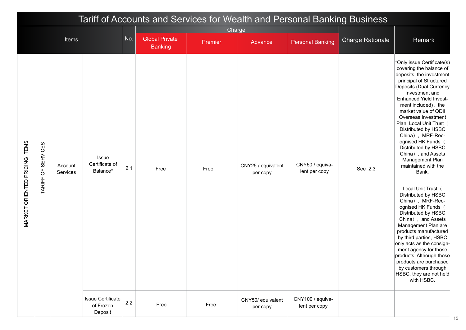| Tariff of Accounts and Services for Wealth and Personal Banking Business<br>Charge |                    |                     |                                                  |         |                                         |         |                                |                                   |                         |                                                                                                                                                                                                                                                                                                                                                                                                                                                                                                                                                                                                                                                                                                                                                                                                                                                        |
|------------------------------------------------------------------------------------|--------------------|---------------------|--------------------------------------------------|---------|-----------------------------------------|---------|--------------------------------|-----------------------------------|-------------------------|--------------------------------------------------------------------------------------------------------------------------------------------------------------------------------------------------------------------------------------------------------------------------------------------------------------------------------------------------------------------------------------------------------------------------------------------------------------------------------------------------------------------------------------------------------------------------------------------------------------------------------------------------------------------------------------------------------------------------------------------------------------------------------------------------------------------------------------------------------|
|                                                                                    |                    |                     |                                                  | No.     |                                         |         |                                |                                   |                         |                                                                                                                                                                                                                                                                                                                                                                                                                                                                                                                                                                                                                                                                                                                                                                                                                                                        |
|                                                                                    |                    | Items               |                                                  |         | <b>Global Private</b><br><b>Banking</b> | Premier | Advance                        | <b>Personal Banking</b>           | <b>Charge Rationale</b> | Remark                                                                                                                                                                                                                                                                                                                                                                                                                                                                                                                                                                                                                                                                                                                                                                                                                                                 |
| <b>MARKET ORIENTED PRICING ITEMS</b>                                               | TARIFF OF SERVICES | Account<br>Services | Issue<br>Certificate of<br>Balance*              | 2.1     | Free                                    | Free    | CNY25 / equivalent<br>per copy | CNY50 / equiva-<br>lent per copy  | See 2.3                 | *Only issue Certificate(s)<br>covering the balance of<br>deposits, the investment<br>principal of Structured<br>Deposits (Dual Currency<br>Investment and<br><b>Enhanced Yield Invest-</b><br>ment included), the<br>market value of QDII<br>Overseas Investment<br>Plan, Local Unit Trust<br>Distributed by HSBC<br>China), MRF-Rec-<br>ognised HK Funds (<br>Distributed by HSBC<br>China), and Assets<br>Management Plan<br>maintained with the<br>Bank.<br>Local Unit Trust (<br>Distributed by HSBC<br>China), MRF-Rec-<br>ognised HK Funds (<br>Distributed by HSBC<br>China), and Assets<br>Management Plan are<br>products manufactured<br>by third parties, HSBC<br>only acts as the consign-<br>ment agency for those<br>products. Although those<br>products are purchased<br>by customers through<br>HSBC, they are not held<br>with HSBC. |
|                                                                                    |                    |                     | <b>Issue Certificate</b><br>of Frozen<br>Deposit | $2.2\,$ | Free                                    | Free    | CNY50/ equivalent<br>per copy  | CNY100 / equiva-<br>lent per copy |                         |                                                                                                                                                                                                                                                                                                                                                                                                                                                                                                                                                                                                                                                                                                                                                                                                                                                        |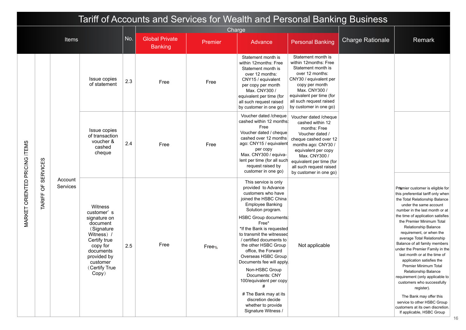|                               | Tariff of Accounts and Services for Wealth and Personal Banking Business<br>Charge |                     |                                                                                                                                                                             |     |                                         |                   |                                                                                                                                                                                                                                                                                                                                                                                                                                                                                                                                     |                                                                                                                                                                                                                                                       |                         |                                                                                                                                                                                                                                                                                                                                                                                                                                                                                                                                                                                                                                                                                                                      |  |
|-------------------------------|------------------------------------------------------------------------------------|---------------------|-----------------------------------------------------------------------------------------------------------------------------------------------------------------------------|-----|-----------------------------------------|-------------------|-------------------------------------------------------------------------------------------------------------------------------------------------------------------------------------------------------------------------------------------------------------------------------------------------------------------------------------------------------------------------------------------------------------------------------------------------------------------------------------------------------------------------------------|-------------------------------------------------------------------------------------------------------------------------------------------------------------------------------------------------------------------------------------------------------|-------------------------|----------------------------------------------------------------------------------------------------------------------------------------------------------------------------------------------------------------------------------------------------------------------------------------------------------------------------------------------------------------------------------------------------------------------------------------------------------------------------------------------------------------------------------------------------------------------------------------------------------------------------------------------------------------------------------------------------------------------|--|
|                               |                                                                                    |                     |                                                                                                                                                                             |     |                                         |                   |                                                                                                                                                                                                                                                                                                                                                                                                                                                                                                                                     |                                                                                                                                                                                                                                                       |                         |                                                                                                                                                                                                                                                                                                                                                                                                                                                                                                                                                                                                                                                                                                                      |  |
|                               |                                                                                    | <b>Items</b>        |                                                                                                                                                                             | No. | <b>Global Private</b><br><b>Banking</b> | Premier           | Advance                                                                                                                                                                                                                                                                                                                                                                                                                                                                                                                             | <b>Personal Banking</b>                                                                                                                                                                                                                               | <b>Charge Rationale</b> | Remark                                                                                                                                                                                                                                                                                                                                                                                                                                                                                                                                                                                                                                                                                                               |  |
|                               |                                                                                    |                     | Issue copies<br>of statement                                                                                                                                                | 2.3 | Free                                    | Free              | Statement month is<br>within 12months: Free<br>Statement month is<br>over 12 months:<br>CNY15 / equivalent<br>per copy per month<br>Max. CNY300 /<br>equivalent per time (for<br>all such request raised<br>by customer in one go)                                                                                                                                                                                                                                                                                                  | Statement month is<br>within 12months: Free<br>Statement month is<br>over 12 months:<br>CNY30 / equivalent per<br>copy per month<br>Max. CNY300 /<br>equivalent per time (for<br>all such request raised<br>by customer in one go)                    |                         |                                                                                                                                                                                                                                                                                                                                                                                                                                                                                                                                                                                                                                                                                                                      |  |
|                               | <b>SERVICES</b>                                                                    |                     | Issue copies<br>of transaction<br>voucher &<br>cashed<br>cheque                                                                                                             | 2.4 | Free                                    | Free              | Voucher dated /cheque<br>cashed within 12 months:<br>Free<br>Voucher dated / cheque<br>cashed over 12 months<br>ago: CNY15 / equivalent<br>per copy<br>Max. CNY300 / equiva-<br>lent per time (for all such<br>request raised by<br>customer in one go)                                                                                                                                                                                                                                                                             | Voucher dated /cheque<br>cashed within 12<br>months: Free<br>Voucher dated /<br>cheque cashed over 12<br>months ago: CNY30 /<br>equivalent per copy<br>Max. CNY300 /<br>equivalent per time (for<br>all such request raised<br>by customer in one go) |                         |                                                                                                                                                                                                                                                                                                                                                                                                                                                                                                                                                                                                                                                                                                                      |  |
| MARKET ORIENTED PRICING ITEMS | $\overline{5}$<br>TARIFF                                                           | Account<br>Services | Witness<br>customer's<br>signature on<br>document<br>(Signature<br>Witness) /<br>Certify true<br>copy for<br>documents<br>provided by<br>customer<br>(Certify True<br>Copy) | 2.5 | Free                                    | Free <sub>%</sub> | This service is only<br>provided to Advance<br>customers who have<br>joined the HSBC China<br><b>Employee Banking</b><br>Solution program.<br>HSBC Group documents<br>Free*<br>*If the Bank is requested<br>to transmit the witnessed<br>/ certified documents to<br>the other HSBC Group<br>office, the Forward<br>Overseas HSBC Group<br>Documents fee will apply.<br>Non-HSBC Group<br>Documents: CNY<br>100/equivalent per copy<br>#<br># The Bank may at its<br>discretion decide<br>whether to provide<br>Signature Witness / | Not applicable                                                                                                                                                                                                                                        |                         | Pr@mier customer is eligible for<br>this preferential tariff only when<br>the Total Relationship Balance<br>under the same account<br>number in the last month or at<br>the time of application satisfies<br>the Premier Minimum Total<br>Relationship Balance<br>requirement, or when the<br>average Total Relationship<br>Balance of all family members<br>under the Premier Family in the<br>last month or at the time of<br>application satisfies the<br>Premier Minimum Total<br>Relationship Balance<br>requirement (only applicable to<br>customers who successfully<br>register).<br>The Bank may offer this<br>service to other HSBC Group<br>customers at its own discretion.<br>If applicable, HSBC Group |  |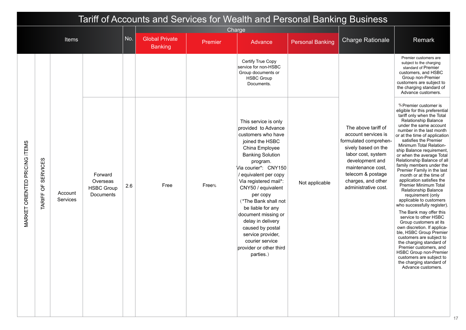| Tariff of Accounts and Services for Wealth and Personal Banking Business<br>Charge<br>No.<br><b>Global Private</b><br>Items |                              |                     |                                                       |     |                |         |                                                                                                                                                                                                                                                                                                                                                                                                                                                      |                         |                                                                                                                                                                                                                             |                                                                                                                                                                                                                                                                                                                                                                                                                                                                                                                                                                                                                                                                                                                                                                                                                                                                                                                                                            |
|-----------------------------------------------------------------------------------------------------------------------------|------------------------------|---------------------|-------------------------------------------------------|-----|----------------|---------|------------------------------------------------------------------------------------------------------------------------------------------------------------------------------------------------------------------------------------------------------------------------------------------------------------------------------------------------------------------------------------------------------------------------------------------------------|-------------------------|-----------------------------------------------------------------------------------------------------------------------------------------------------------------------------------------------------------------------------|------------------------------------------------------------------------------------------------------------------------------------------------------------------------------------------------------------------------------------------------------------------------------------------------------------------------------------------------------------------------------------------------------------------------------------------------------------------------------------------------------------------------------------------------------------------------------------------------------------------------------------------------------------------------------------------------------------------------------------------------------------------------------------------------------------------------------------------------------------------------------------------------------------------------------------------------------------|
|                                                                                                                             |                              |                     |                                                       |     | <b>Banking</b> | Premier | Advance                                                                                                                                                                                                                                                                                                                                                                                                                                              | <b>Personal Banking</b> | <b>Charge Rationale</b>                                                                                                                                                                                                     | Remark                                                                                                                                                                                                                                                                                                                                                                                                                                                                                                                                                                                                                                                                                                                                                                                                                                                                                                                                                     |
|                                                                                                                             |                              |                     |                                                       |     |                |         | Certify True Copy<br>service for non-HSBC<br>Group documents or<br><b>HSBC Group</b><br>Documents.                                                                                                                                                                                                                                                                                                                                                   |                         |                                                                                                                                                                                                                             | Premier customers are<br>subject to the charging<br>standard of Premier<br>customers, and HSBC<br>Group non-Premier<br>customers are subject to<br>the charging standard of<br>Advance customers.                                                                                                                                                                                                                                                                                                                                                                                                                                                                                                                                                                                                                                                                                                                                                          |
| <b>MARKET ORIENTED PRICING ITEMS</b>                                                                                        | <b>SERVICES</b><br>TARIFF OF | Account<br>Services | Forward<br>Overseas<br><b>HSBC Group</b><br>Documents | 2.6 | Free           | Free%   | This service is only<br>provided to Advance<br>customers who have<br>joined the HSBC<br>China Employee<br><b>Banking Solution</b><br>program.<br>Via courier*: CNY150<br>equivalent per copy<br>Via registered mail*:<br>CNY50 / equivalent<br>per copy<br>(*The Bank shall not<br>be liable for any<br>document missing or<br>delay in delivery<br>caused by postal<br>service provider,<br>courier service<br>provider or other third<br>parties.) | Not applicable          | The above tariff of<br>account services is<br>formulated comprehen-<br>sively based on the<br>labor cost, system<br>development and<br>maintenance cost.<br>telecom & postage<br>charges, and other<br>administrative cost. | % Premier customer is<br>eligible for this preferential<br>tariff only when the Total<br><b>Relationship Balance</b><br>under the same account<br>number in the last month<br>or at the time of application<br>satisfies the Premier<br>Minimum Total Relation-<br>ship Balance requirement,<br>or when the average Total<br>Relationship Balance of all<br>family members under the<br>Premier Family in the last<br>month or at the time of<br>application satisfies the<br>Premier Minimum Total<br><b>Relationship Balance</b><br>requirement (only<br>applicable to customers<br>who successfully register).<br>The Bank may offer this<br>service to other HSBC<br>Group customers at its<br>own discretion. If applica-<br>ble, HSBC Group Premier<br>customers are subject to<br>the charging standard of<br>Premier customers, and<br><b>HSBC Group non-Premier</b><br>customers are subject to<br>the charging standard of<br>Advance customers. |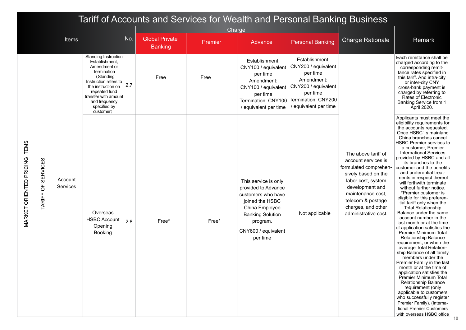|                                      |                                             |                     |                                                                                                                                                                                                                          |     |                                         |         |                                                                                                                                                                                  | Tariff of Accounts and Services for Wealth and Personal Banking Business                                                                           |                                                                                                                                                                                                                             |                                                                                                                                                                                                                                                                                                                                                                                                                                                                                                                                                                                                                                                                                                                                                                                                                                                                                                                                                                                                                                                                                                                                             |
|--------------------------------------|---------------------------------------------|---------------------|--------------------------------------------------------------------------------------------------------------------------------------------------------------------------------------------------------------------------|-----|-----------------------------------------|---------|----------------------------------------------------------------------------------------------------------------------------------------------------------------------------------|----------------------------------------------------------------------------------------------------------------------------------------------------|-----------------------------------------------------------------------------------------------------------------------------------------------------------------------------------------------------------------------------|---------------------------------------------------------------------------------------------------------------------------------------------------------------------------------------------------------------------------------------------------------------------------------------------------------------------------------------------------------------------------------------------------------------------------------------------------------------------------------------------------------------------------------------------------------------------------------------------------------------------------------------------------------------------------------------------------------------------------------------------------------------------------------------------------------------------------------------------------------------------------------------------------------------------------------------------------------------------------------------------------------------------------------------------------------------------------------------------------------------------------------------------|
|                                      |                                             |                     |                                                                                                                                                                                                                          |     |                                         | Charge  |                                                                                                                                                                                  |                                                                                                                                                    |                                                                                                                                                                                                                             |                                                                                                                                                                                                                                                                                                                                                                                                                                                                                                                                                                                                                                                                                                                                                                                                                                                                                                                                                                                                                                                                                                                                             |
|                                      |                                             | <b>Items</b>        |                                                                                                                                                                                                                          | No. | <b>Global Private</b><br><b>Banking</b> | Premier | Advance                                                                                                                                                                          | <b>Personal Banking</b>                                                                                                                            | <b>Charge Rationale</b>                                                                                                                                                                                                     | Remark                                                                                                                                                                                                                                                                                                                                                                                                                                                                                                                                                                                                                                                                                                                                                                                                                                                                                                                                                                                                                                                                                                                                      |
|                                      |                                             |                     | Standing Instruction<br>Establishment,<br>Amendment or<br>Termination<br>(Standing<br>Instruction refers to<br>the instruction on<br>repeated fund<br>transfer with amount<br>and frequency<br>specified by<br>customer) | 2.7 | Free                                    | Free    | Establishment:<br>CNY100 / equivalent<br>per time<br>Amendment:<br>CNY100 / equivalent<br>per time<br>Termination: CNY100<br>/ equivalent per time                               | Establishment:<br>CNY200 / equivalent<br>per time<br>Amendment:<br>CNY200 / equivalent<br>per time<br>Termination: CNY200<br>/ equivalent per time |                                                                                                                                                                                                                             | Each remittance shall be<br>charged according to the<br>corresponding remit-<br>tance rates specified in<br>this tariff. And intra-city<br>or inter-city CNY<br>cross-bank payment is<br>charged by referring to<br>Rates of Electronic<br>Banking Service from 1<br>April 2020.                                                                                                                                                                                                                                                                                                                                                                                                                                                                                                                                                                                                                                                                                                                                                                                                                                                            |
| <b>MARKET ORIENTED PRICING ITEMS</b> | <b>SERVICES</b><br>$\overline{5}$<br>TARIFF | Account<br>Services | Overseas<br><b>HSBC Account</b><br>Opening<br>Booking                                                                                                                                                                    | 2.8 | Free*                                   | Free*   | This service is only<br>provided to Advance<br>customers who have<br>joined the HSBC<br>China Employee<br><b>Banking Solution</b><br>program.<br>CNY600 / equivalent<br>per time | Not applicable                                                                                                                                     | The above tariff of<br>account services is<br>formulated comprehen-<br>sively based on the<br>labor cost, system<br>development and<br>maintenance cost.<br>telecom & postage<br>charges, and other<br>administrative cost. | Applicants must meet the<br>eligibility requirements for<br>the accounts requested.<br>Once HSBC's mainland<br>China branches cancel<br><b>HSBC Premier services to</b><br>a customer, Premier<br><b>International Services</b><br>provided by HSBC and all<br>its branches to the<br>customer and the benefits<br>and preferential treat-<br>ments in respect thereof<br>will forthwith terminate<br>without further notice.<br>*Premier customer is<br>eligible for this preferen-<br>tial tariff only when the<br><b>Total Relationship</b><br>Balance under the same<br>account number in the<br>last month or at the time<br>of application satisfies the<br>Premier Minimum Total<br>Relationship Balance<br>requirement, or when the<br>average Total Relation-<br>ship Balance of all family<br>members under the<br>Premier Family in the last<br>month or at the time of<br>application satisfies the<br><b>Premier Minimum Total</b><br>Relationship Balance<br>requirement (only<br>applicable to customers<br>who successfully register<br>Premier Family). (Interna-<br>tional Premier Customers<br>with overseas HSBC office |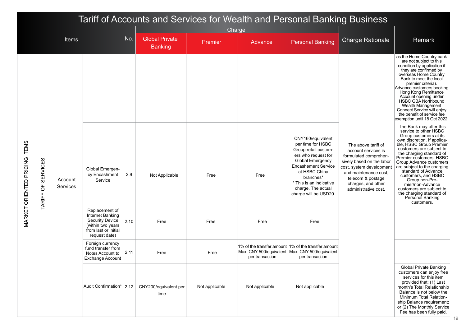|                               | Tariff of Accounts and Services for Wealth and Personal Banking Business<br>Charge |                            |                                                                                                                            |      |                                         |                |                 |                                                                                                                                                                                                                                                 |                                                                                                                                                                                                                          |                                                                                                                                                                                                                                                                                                                                                                                                                                                                 |
|-------------------------------|------------------------------------------------------------------------------------|----------------------------|----------------------------------------------------------------------------------------------------------------------------|------|-----------------------------------------|----------------|-----------------|-------------------------------------------------------------------------------------------------------------------------------------------------------------------------------------------------------------------------------------------------|--------------------------------------------------------------------------------------------------------------------------------------------------------------------------------------------------------------------------|-----------------------------------------------------------------------------------------------------------------------------------------------------------------------------------------------------------------------------------------------------------------------------------------------------------------------------------------------------------------------------------------------------------------------------------------------------------------|
|                               |                                                                                    |                            |                                                                                                                            |      |                                         |                |                 |                                                                                                                                                                                                                                                 |                                                                                                                                                                                                                          |                                                                                                                                                                                                                                                                                                                                                                                                                                                                 |
|                               |                                                                                    | Items                      |                                                                                                                            | No.  | <b>Global Private</b><br><b>Banking</b> | Premier        | Advance         | <b>Personal Banking</b>                                                                                                                                                                                                                         | <b>Charge Rationale</b>                                                                                                                                                                                                  | Remark                                                                                                                                                                                                                                                                                                                                                                                                                                                          |
|                               |                                                                                    |                            |                                                                                                                            |      |                                         |                |                 |                                                                                                                                                                                                                                                 |                                                                                                                                                                                                                          | as the Home Country bank<br>are not subject to this<br>condition by application if<br>they are confirmed by<br>overseas Home Country<br>Bank to meet the local<br>premier criteria).<br>Advance customers booking<br>Hong Kong Remittance<br>Account opening under<br><b>HSBC GBA Northbound</b><br>Wealth Management<br>Connect Service will enjoy<br>the benefit of service fee<br>exemption until 18 Oct 2022.                                               |
| MARKET ORIENTED PRICING ITEMS | <b>SERVICES</b><br>$\overline{5}$<br>TARIFF                                        | Account<br><b>Services</b> | Global Emergen-<br>cy Encashment<br>Service                                                                                | 2.9  | Not Applicable                          | Free           | Free            | CNY160/equivalent<br>per time for HSBC<br>Group retail custom-<br>ers who request for<br>Global Emergency<br><b>Encashement Service</b><br>at HSBC China<br>branches*<br>* This is an indicative<br>charge. The actual<br>charge will be USD20. | The above tariff of<br>account services is<br>formulated comprehen-<br>sively based on the labor<br>cost, system development<br>and maintenance cost,<br>telecom & postage<br>charges, and other<br>administrative cost. | The Bank may offer this<br>service to other HSBC<br>Group customers at its<br>own discretion. If applica-<br>ble, HSBC Group Premier<br>customers are subject to<br>the charging standard of<br>Premier customers, HSBC<br>Group Advance customers<br>are subject to the charging<br>standard of Advance<br>customers, and HSBC<br>Group non-Pre-<br>mier/non-Advance<br>customers are subject to<br>the charging standard of<br>Personal Banking<br>customers. |
|                               |                                                                                    |                            | Replacement of<br>Internet Banking<br><b>Security Device</b><br>(within two years<br>from last or initial<br>request date) | 2.10 | Free                                    | Free           | Free            | Free                                                                                                                                                                                                                                            |                                                                                                                                                                                                                          |                                                                                                                                                                                                                                                                                                                                                                                                                                                                 |
|                               |                                                                                    |                            | Foreign currency<br>fund transfer from<br>Notes Account to<br><b>Exchange Account</b>                                      | 2.11 | Free                                    | Free           | per transaction | 1% of the transfer amount 1% of the transfer amount<br>Max. CNY 500/equivalent   Max. CNY 500/equivalent<br>per transaction                                                                                                                     |                                                                                                                                                                                                                          |                                                                                                                                                                                                                                                                                                                                                                                                                                                                 |
|                               |                                                                                    |                            | Audit Confirmation*   2.12                                                                                                 |      | CNY200/equivalent per<br>time           | Not applicable | Not applicable  | Not applicable                                                                                                                                                                                                                                  |                                                                                                                                                                                                                          | Global Private Banking<br>customers can enjoy free<br>services for this item<br>provided that: (1) Last<br>month's Total Relationship<br>Balance is not below the<br>Minimum Total Relation-<br>ship Balance requirement;<br>or (2) The Monthly Service<br>Fee has been fully paid.                                                                                                                                                                             |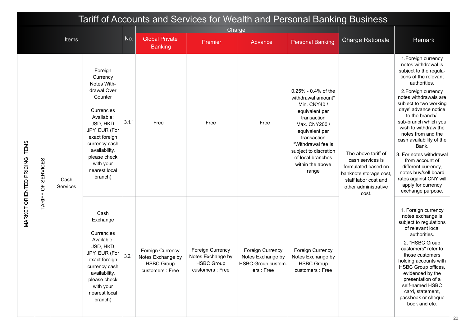|                               |                              |                  |                                                                                                                                                                                                                                    |       |                                                                                |                                                                                | Tariff of Accounts and Services for Wealth and Personal Banking Business  |                                                                                                                                                                                                                                                  |                                                                                                                                                   |                                                                                                                                                                                                                                                                                                                                                                                                                                                                                                                 |
|-------------------------------|------------------------------|------------------|------------------------------------------------------------------------------------------------------------------------------------------------------------------------------------------------------------------------------------|-------|--------------------------------------------------------------------------------|--------------------------------------------------------------------------------|---------------------------------------------------------------------------|--------------------------------------------------------------------------------------------------------------------------------------------------------------------------------------------------------------------------------------------------|---------------------------------------------------------------------------------------------------------------------------------------------------|-----------------------------------------------------------------------------------------------------------------------------------------------------------------------------------------------------------------------------------------------------------------------------------------------------------------------------------------------------------------------------------------------------------------------------------------------------------------------------------------------------------------|
|                               |                              |                  |                                                                                                                                                                                                                                    |       |                                                                                | Charge                                                                         |                                                                           |                                                                                                                                                                                                                                                  |                                                                                                                                                   |                                                                                                                                                                                                                                                                                                                                                                                                                                                                                                                 |
|                               |                              | <b>Items</b>     |                                                                                                                                                                                                                                    | No.   | <b>Global Private</b><br><b>Banking</b>                                        | Premier                                                                        | Advance                                                                   | <b>Personal Banking</b>                                                                                                                                                                                                                          | <b>Charge Rationale</b>                                                                                                                           | Remark                                                                                                                                                                                                                                                                                                                                                                                                                                                                                                          |
| MARKET ORIENTED PRICING ITEMS | <b>SERVICES</b><br>TARIFF OF | Cash<br>Services | Foreign<br>Currency<br>Notes With-<br>drawal Over<br>Counter<br>Currencies<br>Available:<br>USD, HKD,<br>JPY, EUR (For<br>exact foreign<br>currency cash<br>availability,<br>please check<br>with your<br>nearest local<br>branch) | 3.1.1 | Free                                                                           | Free                                                                           | Free                                                                      | $0.25\%$ - 0.4% of the<br>withdrawal amount*<br>Min. CNY40 /<br>equivalent per<br>transaction<br>Max. CNY200 /<br>equivalent per<br>transaction<br>*Withdrawal fee is<br>subject to discretion<br>of local branches<br>within the above<br>range | The above tariff of<br>cash services is<br>formulated based on<br>banknote storage cost,<br>staff labor cost and<br>other administrative<br>cost. | 1. Foreign currency<br>notes withdrawal is<br>subject to the regula-<br>tions of the relevant<br>authorities.<br>2. Foreign currency<br>notes withdrawals are<br>subject to two working<br>days' advance notice<br>to the branch/-<br>sub-branch which you<br>wish to withdraw the<br>notes from and the<br>cash availability of the<br>Bank.<br>3. For notes withdrawal<br>from account of<br>different currency,<br>notes buy/sell board<br>rates against CNY will<br>apply for currency<br>exchange purpose. |
|                               |                              |                  | Cash<br>Exchange<br>Currencies<br>Available:<br>USD, HKD,<br>JPY, EUR (For<br>exact foreign<br>currency cash<br>availability,<br>please check<br>with your<br>nearest local<br>branch)                                             | 3.2.1 | Foreign Currency<br>Notes Exchange by<br><b>HSBC Group</b><br>customers : Free | Foreign Currency<br>Notes Exchange by<br><b>HSBC Group</b><br>customers : Free | Foreign Currency<br>Notes Exchange by<br>HSBC Group custom-<br>ers : Free | Foreign Currency<br>Notes Exchange by<br><b>HSBC Group</b><br>customers : Free                                                                                                                                                                   |                                                                                                                                                   | 1. Foreign currency<br>notes exchange is<br>subject to regulations<br>of relevant local<br>authorities.<br>2. "HSBC Group<br>customers" refer to<br>those customers<br>holding accounts with<br>HSBC Group offices,<br>evidenced by the<br>presentation of a<br>self-named HSBC<br>card, statement,<br>passbook or cheque<br>book and etc.                                                                                                                                                                      |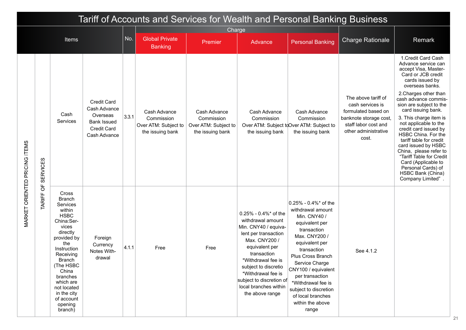|                               | Tariff of Accounts and Services for Wealth and Personal Banking Business<br>Charge |                                                                                                                                                                                                                                                                                    |                                                                                                     |       |                                                                        |                                                                        |                                                                                                                                                                                                                                                                                         |                                                                                                                                                                                                                                                                                                                                |                                                                                                                                                   |                                                                                                                                                                                                                                                                                                                                                                                                                                                                                                                                    |
|-------------------------------|------------------------------------------------------------------------------------|------------------------------------------------------------------------------------------------------------------------------------------------------------------------------------------------------------------------------------------------------------------------------------|-----------------------------------------------------------------------------------------------------|-------|------------------------------------------------------------------------|------------------------------------------------------------------------|-----------------------------------------------------------------------------------------------------------------------------------------------------------------------------------------------------------------------------------------------------------------------------------------|--------------------------------------------------------------------------------------------------------------------------------------------------------------------------------------------------------------------------------------------------------------------------------------------------------------------------------|---------------------------------------------------------------------------------------------------------------------------------------------------|------------------------------------------------------------------------------------------------------------------------------------------------------------------------------------------------------------------------------------------------------------------------------------------------------------------------------------------------------------------------------------------------------------------------------------------------------------------------------------------------------------------------------------|
|                               | Items                                                                              |                                                                                                                                                                                                                                                                                    |                                                                                                     |       |                                                                        |                                                                        |                                                                                                                                                                                                                                                                                         |                                                                                                                                                                                                                                                                                                                                |                                                                                                                                                   |                                                                                                                                                                                                                                                                                                                                                                                                                                                                                                                                    |
|                               |                                                                                    |                                                                                                                                                                                                                                                                                    |                                                                                                     | No.   | <b>Global Private</b><br><b>Banking</b>                                | Premier                                                                | Advance                                                                                                                                                                                                                                                                                 | <b>Personal Banking</b>                                                                                                                                                                                                                                                                                                        | <b>Charge Rationale</b>                                                                                                                           | Remark                                                                                                                                                                                                                                                                                                                                                                                                                                                                                                                             |
| VARKET ORIENTED PRICING ITEMS | <b>TARIFF OF SERVICES</b>                                                          | Cash<br>Services                                                                                                                                                                                                                                                                   | Credit Card<br>Cash Advance<br>Overseas<br><b>Bank Issued</b><br><b>Credit Card</b><br>Cash Advance | 3.3.1 | Cash Advance<br>Commission<br>Over ATM: Subject to<br>the issuing bank | Cash Advance<br>Commission<br>Over ATM: Subject to<br>the issuing bank | Cash Advance<br>Commission<br>the issuing bank                                                                                                                                                                                                                                          | Cash Advance<br>Commission<br>Over ATM: Subject to Over ATM: Subject to<br>the issuing bank                                                                                                                                                                                                                                    | The above tariff of<br>cash services is<br>formulated based on<br>banknote storage cost,<br>staff labor cost and<br>other administrative<br>cost. | 1. Credit Card Cash<br>Advance service can<br>accept Visa, Master-<br>Card or JCB credit<br>cards issued by<br>overseas banks.<br>2. Charges other than<br>cash advance commis-<br>sion are subject to the<br>card issuing bank.<br>3. This charge item is<br>not applicable to the<br>credit card issued by<br>HSBC China. For the<br>tariff table for credit<br>card issued by HSBC<br>China, please refer to<br>"Tariff Table for Credit<br>Card (Applicable to<br>Personal Cards) of<br>HSBC Bank (China)<br>Company Limited". |
|                               |                                                                                    | Cross<br><b>Branch</b><br>Services<br>within<br><b>HSBC</b><br>China:Ser-<br>vices<br>directly<br>provided by<br>the<br>Instruction<br>Receiving<br><b>Branch</b><br>(The HSBC<br>China<br>branches<br>which are<br>not located<br>in the city<br>of account<br>opening<br>branch) | Foreign<br>Currency<br>Notes With-<br>drawal                                                        | 4.1.1 | Free                                                                   | Free                                                                   | 0.25% - 0.4%* of the<br>withdrawal amount<br>Min. CNY40 / equiva-<br>lent per transaction<br>Max. CNY200 /<br>equivalent per<br>transaction<br>*Withdrawal fee is<br>subject to discretio<br>*Withdrawal fee is<br>subject to discretion of<br>local branches within<br>the above range | 0.25% - 0.4%* of the<br>withdrawal amount<br>Min. CNY40 /<br>equivalent per<br>transaction<br>Max. CNY200 /<br>equivalent per<br>transaction<br>Plus Cross Branch<br>Service Charge<br>CNY100 / equivalent<br>per transaction<br>*Withdrawal fee is<br>subject to discretion<br>of local branches<br>within the above<br>range | See 4.1.2                                                                                                                                         |                                                                                                                                                                                                                                                                                                                                                                                                                                                                                                                                    |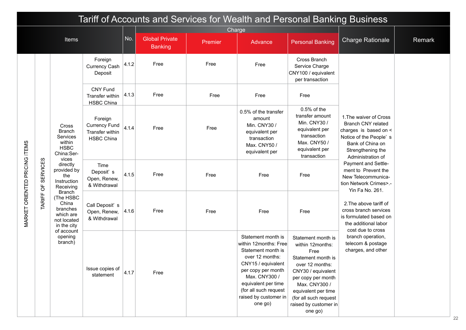|                               |                 |                                                                                            |                                                                         |       |                                         |         | Tariff of Accounts and Services for Wealth and Personal Banking Business                                                                                                                                                              |                                                                                                                                                                                                                                          |                                                                                                                                                                      |        |
|-------------------------------|-----------------|--------------------------------------------------------------------------------------------|-------------------------------------------------------------------------|-------|-----------------------------------------|---------|---------------------------------------------------------------------------------------------------------------------------------------------------------------------------------------------------------------------------------------|------------------------------------------------------------------------------------------------------------------------------------------------------------------------------------------------------------------------------------------|----------------------------------------------------------------------------------------------------------------------------------------------------------------------|--------|
|                               |                 |                                                                                            |                                                                         |       |                                         | Charge  |                                                                                                                                                                                                                                       |                                                                                                                                                                                                                                          |                                                                                                                                                                      |        |
|                               |                 | Items                                                                                      |                                                                         | No.   | <b>Global Private</b><br><b>Banking</b> | Premier | Advance                                                                                                                                                                                                                               | <b>Personal Banking</b>                                                                                                                                                                                                                  | <b>Charge Rationale</b>                                                                                                                                              | Remark |
|                               |                 |                                                                                            | Foreign<br>Currency Cash<br>Deposit                                     | 4.1.2 | Free                                    | Free    | Free                                                                                                                                                                                                                                  | Cross Branch<br>Service Charge<br>CNY100 / equivalent<br>per transaction                                                                                                                                                                 |                                                                                                                                                                      |        |
|                               |                 |                                                                                            | <b>CNY Fund</b><br>Transfer within<br><b>HSBC China</b>                 | 4.1.3 | Free                                    | Free    | Free                                                                                                                                                                                                                                  | Free                                                                                                                                                                                                                                     |                                                                                                                                                                      |        |
|                               |                 | Cross<br><b>Branch</b><br>Services<br>within<br><b>HSBC</b><br>China:Ser-<br>vices         | Foreign<br><b>Currency Fund</b><br>Transfer within<br><b>HSBC China</b> | 4.1.4 | Free                                    | Free    | 0.5% of the transfer<br>amount<br>Min. CNY30 /<br>equivalent per<br>transaction<br>Max. CNY50 /<br>equivalent per                                                                                                                     | $0.5%$ of the<br>transfer amount<br>Min. CNY30 /<br>equivalent per<br>transaction<br>Max. CNY50 /<br>equivalent per<br>transaction                                                                                                       | 1. The waiver of Cross<br><b>Branch CNY related</b><br>charges is based on <<br>Notice of the People's<br>Bank of China on<br>Strengthening the<br>Administration of |        |
|                               | <b>SERVICES</b> | directly<br>provided by<br>the<br>Instruction<br>Receiving                                 | Time<br>Deposit's<br>Open, Renew,<br>& Withdrawal                       | 4.1.5 | Free                                    | Free    | Free                                                                                                                                                                                                                                  | Free                                                                                                                                                                                                                                     | Payment and Settle-<br>ment to Prevent the<br>New Telecommunica-<br>tion Network Crimes>.-<br>Yin Fa No. 261.                                                        |        |
| MARKET ORIENTED PRICING ITEMS | TARIFF OF       | <b>Branch</b><br>(The HSBC<br>China<br>branches<br>which are<br>not located<br>in the city | Call Deposit's<br>Open, Renew,<br>& Withdrawal                          | 4.1.6 | Free                                    | Free    | Free                                                                                                                                                                                                                                  | Free                                                                                                                                                                                                                                     | 2. The above tariff of<br>cross branch services<br>is formulated based on<br>the additional labor<br>cost due to cross                                               |        |
|                               |                 | of account<br>opening<br>branch)                                                           | Issue copies of<br>statement                                            | 4.1.7 | Free                                    |         | Statement month is<br>within 12months: Free<br>Statement month is<br>over 12 months:<br>CNY15 / equivalent<br>per copy per month<br>Max. CNY300 /<br>equivalent per time<br>(for all such request<br>raised by customer in<br>one go) | Statement month is<br>within 12months:<br>Free<br>Statement month is<br>over 12 months:<br>CNY30 / equivalent<br>per copy per month<br>Max. CNY300 /<br>equivalent per time<br>(for all such request<br>raised by customer in<br>one go) | branch operation,<br>telecom & postage<br>charges, and other                                                                                                         |        |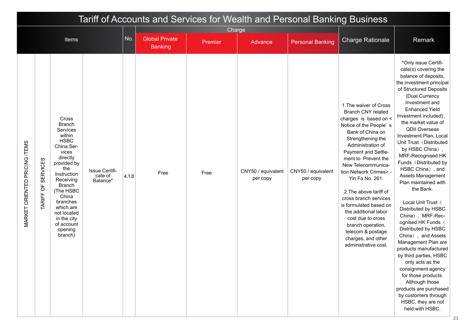|                                      |                                                          |                                                                                                                                                                                                                                                                                    |                                       |       |                        |                   |                                |                                | Tariff of Accounts and Services for Wealth and Personal Banking Business                                                                                                                                                                                                                                                                                                                                                                                                                                |                                                                                                                                                                                                                                                                                                                                                                                                                                                                                                                                                                                                                                                                                                                                                                                                                                                                 |
|--------------------------------------|----------------------------------------------------------|------------------------------------------------------------------------------------------------------------------------------------------------------------------------------------------------------------------------------------------------------------------------------------|---------------------------------------|-------|------------------------|-------------------|--------------------------------|--------------------------------|---------------------------------------------------------------------------------------------------------------------------------------------------------------------------------------------------------------------------------------------------------------------------------------------------------------------------------------------------------------------------------------------------------------------------------------------------------------------------------------------------------|-----------------------------------------------------------------------------------------------------------------------------------------------------------------------------------------------------------------------------------------------------------------------------------------------------------------------------------------------------------------------------------------------------------------------------------------------------------------------------------------------------------------------------------------------------------------------------------------------------------------------------------------------------------------------------------------------------------------------------------------------------------------------------------------------------------------------------------------------------------------|
|                                      |                                                          | <b>Items</b>                                                                                                                                                                                                                                                                       |                                       | No.   | <b>Global Private</b>  | Charge<br>Premier | Advance                        | <b>Personal Banking</b>        | <b>Charge Rationale</b>                                                                                                                                                                                                                                                                                                                                                                                                                                                                                 | Remark                                                                                                                                                                                                                                                                                                                                                                                                                                                                                                                                                                                                                                                                                                                                                                                                                                                          |
| <b>MARKET ORIENTED PRICING ITEMS</b> | <b>SERVICES</b><br>$\overline{5}$<br>TARIFF <sub>(</sub> | <b>Cross</b><br><b>Branch</b><br>Services<br>within<br><b>HSBC</b><br>China:Ser-<br>vices<br>directly<br>provided by<br>the<br>Instruction<br>Receiving<br>Branch<br>(The HSBC<br>China<br>branches<br>which are<br>not located<br>in the city<br>of account<br>opening<br>branch) | Issue Certifi-<br>cate of<br>Balance* | 4.1.8 | <b>Banking</b><br>Free | Free              | CNY50 / equivalent<br>per copy | CNY50 / equivalent<br>per copy | 1. The waiver of Cross<br><b>Branch CNY related</b><br>charges is based on <<br>Notice of the People's<br>Bank of China on<br>Strengthening the<br>Administration of<br>Payment and Settle-<br>ment to Prevent the<br>New Telecommunica-<br>tion Network Crimes>.-<br>Yin Fa No. 261.<br>2. The above tariff of<br>cross branch services<br>is formulated based on<br>the additional labor<br>cost due to cross<br>branch operation,<br>telecom & postage<br>charges, and other<br>administrative cost. | *Only issue Certifi-<br>cate(s) covering the<br>balance of deposits,<br>the investment principal<br>of Structured Deposits<br>(Dual Currency<br>Investment and<br><b>Enhanced Yield</b><br>Investment included),<br>the market value of<br><b>QDII Overseas</b><br>Investment Plan, Local<br>Unit Trust (Distributed<br>by HSBC China),<br>MRF-Recognised HK<br>Funds (Distributed by<br>HSBC China), and<br>Assets Management<br>Plan maintained with<br>the Bank.<br>Local Unit Trust (<br>Distributed by HSBC<br>China), MRF-Rec-<br>ognised HK Funds (<br>Distributed by HSBC<br>China), and Assets<br>Management Plan are<br>products manufactured<br>by third parties, HSBC<br>only acts as the<br>consignment agency<br>for those products.<br>Although those<br>products are purchased<br>by customers through<br>HSBC, they are not<br>held with HSBC. |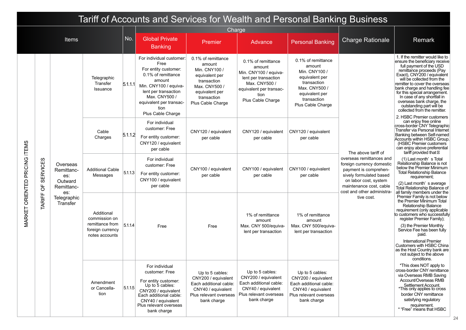|                                      |                                   |                                                        |                                                                                      |         |                                                                                                                                                                                                                   |                                                                                                                                                       |                                                                                                                                                        | Tariff of Accounts and Services for Wealth and Personal Banking Business                                                                              |                                                                                                                                                               |                                                                                                                                                                                                                                                                                                                                                                                                                                                |
|--------------------------------------|-----------------------------------|--------------------------------------------------------|--------------------------------------------------------------------------------------|---------|-------------------------------------------------------------------------------------------------------------------------------------------------------------------------------------------------------------------|-------------------------------------------------------------------------------------------------------------------------------------------------------|--------------------------------------------------------------------------------------------------------------------------------------------------------|-------------------------------------------------------------------------------------------------------------------------------------------------------|---------------------------------------------------------------------------------------------------------------------------------------------------------------|------------------------------------------------------------------------------------------------------------------------------------------------------------------------------------------------------------------------------------------------------------------------------------------------------------------------------------------------------------------------------------------------------------------------------------------------|
|                                      |                                   |                                                        |                                                                                      |         |                                                                                                                                                                                                                   | Charge                                                                                                                                                |                                                                                                                                                        |                                                                                                                                                       |                                                                                                                                                               |                                                                                                                                                                                                                                                                                                                                                                                                                                                |
|                                      |                                   | <b>Items</b>                                           |                                                                                      | No.     | <b>Global Private</b><br><b>Banking</b>                                                                                                                                                                           | Premier                                                                                                                                               | Advance                                                                                                                                                | <b>Personal Banking</b>                                                                                                                               | <b>Charge Rationale</b>                                                                                                                                       | Remark                                                                                                                                                                                                                                                                                                                                                                                                                                         |
|                                      |                                   |                                                        | Telegraphic<br>Transfer<br>Issuance                                                  | 5.1.1.1 | For individual customer<br>Free<br>For entity customer:<br>0.1% of remittance<br>amount<br>Min. CNY100 / equiva-<br>lent per transaction<br>Max. CNY500 /<br>equivalent per transac-<br>tion<br>Plus Cable Charge | 0.1% of remittance<br>amount<br>Min. CNY100 /<br>equivalent per<br>transaction<br>Max. CNY500 /<br>equivalent per<br>transaction<br>Plus Cable Charge | 0.1% of remittance<br>amount<br>Min. CNY100 / equiva-<br>lent per transaction<br>Max. CNY500 /<br>equivalent per transac-<br>tion<br>Plus Cable Charge | 0.1% of remittance<br>amount<br>Min. CNY100 /<br>equivalent per<br>transaction<br>Max. CNY500 /<br>equivalent per<br>transaction<br>Plus Cable Charge |                                                                                                                                                               | 1. If the remitter would like to<br>ensure the beneficiary receive<br>full payment of the USD<br>remittance proceeds (Pay<br>Exact), CNY200 / equivalent<br>will be collected from the<br>remitter to cover the overseas<br>bank charge and handling fee<br>for this special arrangement.<br>In case of any shortfall in<br>overseas bank charge, the<br>outstanding part will be<br>collected from the remitter.<br>2. HSBC Premier customers |
|                                      |                                   |                                                        | Cable<br>Charges                                                                     | 5.1.1.2 | For individual<br>customer: Free<br>For entity customer:<br>CNY120 / equivalent<br>per cable                                                                                                                      | CNY120 / equivalent<br>per cable                                                                                                                      | CNY120 / equivalent<br>per cable                                                                                                                       | CNY120 / equivalent<br>per cable                                                                                                                      | The above tariff of                                                                                                                                           | can enjoy free online<br>cross-border CNY Telegraphic<br>Transfer via Personal Internet<br>Banking between Self-named<br>Accounts within HSBC Group.<br>(HSBC Premier customers<br>can enjoy above preferential<br>tariff provided that                                                                                                                                                                                                        |
| <b>MARKET ORIENTED PRICING ITEMS</b> | <b>SERVICES</b><br>$\overline{5}$ | Overseas<br>Remittanc-<br>es:<br>Outward<br>Remittanc- | <b>Additional Cable</b><br>Messages                                                  | 5.1.1.3 | For individual<br>customer: Free<br>For entity customer:<br>CNY100 / equivalent<br>per cable                                                                                                                      | CNY100 / equivalent<br>per cable                                                                                                                      | CNY100 / equivalent<br>per cable                                                                                                                       | CNY100 / equivalent<br>per cable                                                                                                                      | overseas remittances and<br>foreign currency domestic<br>payment is comprehen-<br>sively formulated based<br>on labor cost, system<br>maintenance cost, cable | (1) Last month's Total<br>Relationship Balance is not<br>below the Premier Minimum<br><b>Total Relationship Balance</b><br>requirement;<br>(2) Last month's average<br>Total Relationship Balance of                                                                                                                                                                                                                                           |
|                                      | <b>TARIFF</b>                     | es:<br>Telegraphic<br>Transfer                         | Additional<br>commission on<br>remittance from<br>foreign currency<br>notes accounts | 5.1.14  | Free                                                                                                                                                                                                              | Free                                                                                                                                                  | 1% of remittance<br>amount<br>Max. CNY 500/equiva-<br>lent per transaction                                                                             | 1% of remittance<br>amount<br>Max. CNY 500/equiva-<br>lent per transaction                                                                            | cost and other administra-<br>tive cost.                                                                                                                      | all family members under the<br>Premier Family is not below<br>the Premier Minimum Total<br><b>Relationship Balance</b><br>requirement (only applicable<br>to customers who successfully<br>register Premier Family);<br>(3) the Premier Monthly<br>Service Fee has been fully<br>paid.<br><b>International Premier</b><br>Customers with HSBC China<br>as the Host Country bank are<br>not subject to the above                               |
|                                      |                                   |                                                        | Amendment<br>or Cancella-<br>tion                                                    | 5.115   | For individual<br>customer: Free<br>For entity customer:<br>Up to 5 cables:<br>CNY200 / equivalent<br>Each additional cable:<br>CNY40 / equivalent<br>Plus relevant overseas<br>bank charge                       | Up to 5 cables:<br>CNY200 / equivalent<br>Each additional cable:<br>CNY40 / equivalent<br>Plus relevant overseas<br>bank charge                       | Up to 5 cables:<br>CNY200 / equivalent<br>Each additional cable:<br>CNY40 / equivalent<br>Plus relevant overseas<br>bank charge                        | Up to 5 cables:<br>CNY200 / equivalent<br>Each additional cable:<br>CNY40 / equivalent<br>Plus relevant overseas<br>bank charge                       |                                                                                                                                                               | conditions.<br>*This does NOT apply to<br>cross-border CNY remittance<br>via Overseas RMB Saving<br>Account/Overseas RMB<br>Settlement Account.<br>*This only applies to cross<br>border CNY remittance<br>satisfying regulatory<br>requirement.<br>* "Free" means that HSBC                                                                                                                                                                   |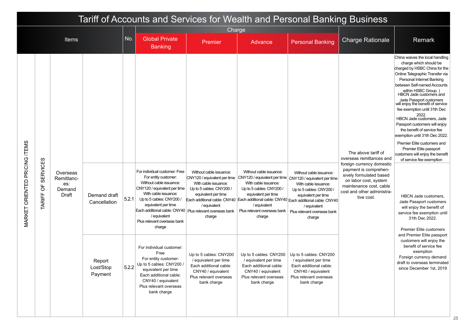|                               |                                             |                                                  |                                |       |                                                                                                                                                                                                                                                                                                                    |                                                                                                                                                            |                                                                                                                                                             | Tariff of Accounts and Services for Wealth and Personal Banking Business                                                                                                                                                                                                                                                 |                                                                                                                                                                                                                                  |                                                                                                                                                                                                                                                                                                                                                                                                                                                                                                                                                                                                                                                                                                                                                                                       |
|-------------------------------|---------------------------------------------|--------------------------------------------------|--------------------------------|-------|--------------------------------------------------------------------------------------------------------------------------------------------------------------------------------------------------------------------------------------------------------------------------------------------------------------------|------------------------------------------------------------------------------------------------------------------------------------------------------------|-------------------------------------------------------------------------------------------------------------------------------------------------------------|--------------------------------------------------------------------------------------------------------------------------------------------------------------------------------------------------------------------------------------------------------------------------------------------------------------------------|----------------------------------------------------------------------------------------------------------------------------------------------------------------------------------------------------------------------------------|---------------------------------------------------------------------------------------------------------------------------------------------------------------------------------------------------------------------------------------------------------------------------------------------------------------------------------------------------------------------------------------------------------------------------------------------------------------------------------------------------------------------------------------------------------------------------------------------------------------------------------------------------------------------------------------------------------------------------------------------------------------------------------------|
|                               |                                             |                                                  |                                |       |                                                                                                                                                                                                                                                                                                                    | Charge                                                                                                                                                     |                                                                                                                                                             |                                                                                                                                                                                                                                                                                                                          |                                                                                                                                                                                                                                  |                                                                                                                                                                                                                                                                                                                                                                                                                                                                                                                                                                                                                                                                                                                                                                                       |
|                               |                                             | <b>Items</b>                                     |                                | No.   | <b>Global Private</b><br><b>Banking</b>                                                                                                                                                                                                                                                                            | Premier                                                                                                                                                    | Advance                                                                                                                                                     | <b>Personal Banking</b>                                                                                                                                                                                                                                                                                                  | <b>Charge Rationale</b>                                                                                                                                                                                                          | Remark                                                                                                                                                                                                                                                                                                                                                                                                                                                                                                                                                                                                                                                                                                                                                                                |
| MARKET ORIENTED PRICING ITEMS | <b>SERVICES</b><br>$\overline{0}$<br>TARIFF | Overseas<br>Remittanc-<br>es:<br>Demand<br>Draft | Demand draft<br>Cancellation   | 5.2.1 | For individual customer: Free<br>For entity customer:<br>Without cable issuance:<br>CNY120 / equivalent per time<br>With cable issuance:<br>Up to 5 cables: CNY200 /<br>equivalent per time<br>Each additional cable: CNY40   Plus relevant overseas bank<br>/ equivalent<br>Plus relevant overseas bank<br>charge | Without cable issuance:<br>CNY120 / equivalent per time<br>With cable issuance:<br>Up to 5 cables: CNY200<br>equivalent per time<br>/ equivalent<br>charge | Without cable issuance:<br>With cable issuance:<br>Up to 5 cables: CNY200 /<br>equivalent per time<br>/ equivalent<br>Plus relevant overseas bank<br>charge | Without cable issuance:<br>CNY120 / equivalent per time   CNY120 / equivalent per time<br>With cable issuance:<br>Up to 5 cables: CNY200 /<br>equivalent per time<br>Each additional cable: CNY40   Each additional cable: CNY40   Each additional cable: CNY40<br>/ equivalent<br>Plus relevant overseas bank<br>charge | The above tariff of<br>overseas remittances and<br>foreign currency domestic<br>payment is comprehen-<br>sively formulated based<br>on labor cost, system<br>maintenance cost, cable<br>cost and other administra-<br>tive cost. | China waives the local handling<br>charge which should be<br>charged by HSBC China for the<br>Online Telegraphic Transfer via<br>Personal Internet Banking<br>between Self-named Accounts<br>within HSBC Group.)<br>HBCN Jade customers and<br>Jade Passport customers<br>will enjoy the benefit of service<br>fee exemption until 31th Dec<br>2022.<br>HBCN Jade customers, Jade<br>Passport customers will enjoy<br>the benefit of service fee<br>exemption until 31th Dec 2022.<br>Premier Elite customers and<br>Premier Elite passport<br>customers will enjoy the benefit<br>of service fee exemption<br><b>HBCN Jade customers,</b><br>Jade Passport customers<br>will enjoy the benefit of<br>service fee exemption until<br>31th Dec 2022.<br><b>Premier Elite customers</b> |
|                               |                                             |                                                  | Report<br>Lost/Stop<br>Payment | 5.2.2 | For individual customer:<br>Free<br>For entity customer:<br>Up to 5 cables: CNY200 /<br>equivalent per time<br>Each additional cable:<br>CNY40 / equivalent<br>Plus relevant overseas<br>bank charge                                                                                                               | Up to 5 cables: CNY200<br>/ equivalent per time<br>Each additional cable:<br>CNY40 / equivalent<br>Plus relevant overseas<br>bank charge                   | / equivalent per time<br>Each additional cable:<br>CNY40 / equivalent<br>Plus relevant overseas<br>bank charge                                              | Up to 5 cables: $CNY200$ $ $ Up to 5 cables: $CNY200$<br>/ equivalent per time<br>Each additional cable:<br>CNY40 / equivalent<br>Plus relevant overseas<br>bank charge                                                                                                                                                  |                                                                                                                                                                                                                                  | and Premier Elite passport<br>customers will enjoy the<br>benefit of service fee<br>exemption<br>Foreign currency demand<br>draft to overseas terminated<br>since December 1st, 2019                                                                                                                                                                                                                                                                                                                                                                                                                                                                                                                                                                                                  |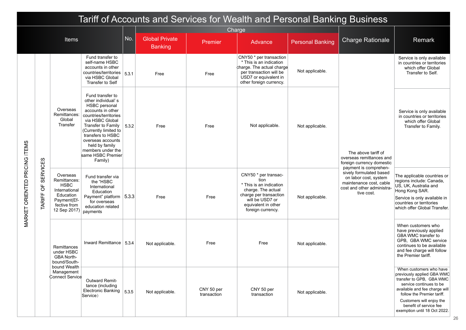|                               |                              |                                                                                                                      |                                                                                                                                                                                                                                                                                                 |       |                                         |                           |                                                                                                                                                                        | Tariff of Accounts and Services for Wealth and Personal Banking Business |                                                                                                                                                  |                                                                                                                                                                                                                                                                   |
|-------------------------------|------------------------------|----------------------------------------------------------------------------------------------------------------------|-------------------------------------------------------------------------------------------------------------------------------------------------------------------------------------------------------------------------------------------------------------------------------------------------|-------|-----------------------------------------|---------------------------|------------------------------------------------------------------------------------------------------------------------------------------------------------------------|--------------------------------------------------------------------------|--------------------------------------------------------------------------------------------------------------------------------------------------|-------------------------------------------------------------------------------------------------------------------------------------------------------------------------------------------------------------------------------------------------------------------|
|                               |                              |                                                                                                                      |                                                                                                                                                                                                                                                                                                 |       |                                         | Charge                    |                                                                                                                                                                        |                                                                          |                                                                                                                                                  |                                                                                                                                                                                                                                                                   |
|                               |                              | <b>Items</b>                                                                                                         |                                                                                                                                                                                                                                                                                                 | No.   | <b>Global Private</b><br><b>Banking</b> | Premier                   | Advance                                                                                                                                                                | <b>Personal Banking</b>                                                  | <b>Charge Rationale</b>                                                                                                                          | Remark                                                                                                                                                                                                                                                            |
|                               |                              |                                                                                                                      | Fund transfer to<br>self-name HSBC<br>accounts in other<br>countries/territories<br>via HSBC Global<br>Transfer to Self                                                                                                                                                                         | 5.3.1 | Free                                    | Free                      | CNY50 * per transaction<br>* This is an indication<br>charge. The actual charge<br>per transaction will be<br>USD7 or equivalent in<br>other foreign currency.         | Not applicable.                                                          |                                                                                                                                                  | Service is only available<br>in countries or territories<br>which offer Global<br>Transfer to Self.                                                                                                                                                               |
|                               |                              | Overseas<br>Remittances:<br>Global<br>Transfer                                                                       | Fund transfer to<br>other individual's<br><b>HSBC</b> personal<br>accounts in other<br>countries/territories<br>via HSBC Global<br>Transfer to Family<br>(Currently limited to<br>transfers to HSBC<br>overseas accounts<br>held by family<br>members under the<br>same HSBC Premier<br>Family) | 5.3.2 | Free                                    | Free                      | Not applicable.                                                                                                                                                        | Not applicable.                                                          | The above tariff of<br>overseas remittances and<br>foreign currency domestic                                                                     | Service is only available<br>in countries or territories<br>which offer Global<br>Transfer to Family.                                                                                                                                                             |
| MARKET ORIENTED PRICING ITEMS | <b>SERVICES</b><br>TARIFF OF | Overseas<br>Remittances:<br><b>HSBC</b><br>International<br>Education<br>Payment(Ef-<br>fective from<br>12 Sep 2017) | Fund transfer via<br>the "HSBC<br>International<br>Education<br>Payment" platform<br>for overseas<br>education related<br>payments                                                                                                                                                              | 5.3.3 | Free                                    | Free                      | CNY50 * per transac-<br>tion<br>* This is an indication<br>charge. The actual<br>charge per transaction<br>will be USD7 or<br>equivalent in other<br>foreign currency. | Not applicable.                                                          | payment is comprehen-<br>sively formulated based<br>on labor cost, system<br>maintenance cost, cable<br>cost and other administra-<br>tive cost. | The applicable countries or<br>regions include: Canada,<br>US, UK, Australia and<br>Hong Kong SAR.<br>Service is only available in<br>countries or territories<br>which offer Global Transfer.                                                                    |
|                               |                              | Remittances<br>under HSBC<br><b>GBA North-</b><br>bound/South-                                                       | Inward Remittance   5.3.4                                                                                                                                                                                                                                                                       |       | Not applicable.                         | Free                      | Free                                                                                                                                                                   | Not applicable.                                                          |                                                                                                                                                  | When customers who<br>have previously applied<br>GBA WMC transfer to<br>GPB, GBA WMC service<br>continues to be available<br>and fee charge will follow<br>the Premier tariff.                                                                                    |
|                               |                              | bound Wealth<br>Management<br>Connect Service                                                                        | Outward Remit-<br>tance (including<br>Electronic Banking $ _{5.3.5}$<br>Service)                                                                                                                                                                                                                |       | Not applicable.                         | CNY 50 per<br>transaction | CNY 50 per<br>transaction                                                                                                                                              | Not applicable.                                                          |                                                                                                                                                  | When customers who have<br>previously applied GBA WMC<br>transfer to GPB, GBA WMC<br>service continues to be<br>available and fee charge will<br>follow the Premier tariff.<br>Customers will enjoy the<br>benefit of service fee<br>exemption until 18 Oct 2022. |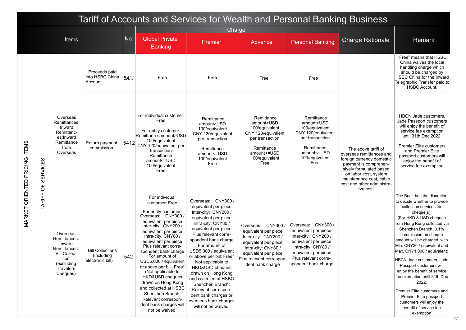|                               |                                   |                                                                                                                          |                                                            |        | Tariff of Accounts and Services for Wealth and Personal Banking Business                                                                                                                                                                                                                                                                                                                                                                                                                                   |                                                                                                                                                                                                                                                                                                                                                                                                                                                                           |                                                                                                                                                                                           |                                                                                                                                                                                           |                                                                                                                                                                                                                                  |                                                                                                                                                                                                                                                                                                                                                                                                                                                                                                                                                                                  |
|-------------------------------|-----------------------------------|--------------------------------------------------------------------------------------------------------------------------|------------------------------------------------------------|--------|------------------------------------------------------------------------------------------------------------------------------------------------------------------------------------------------------------------------------------------------------------------------------------------------------------------------------------------------------------------------------------------------------------------------------------------------------------------------------------------------------------|---------------------------------------------------------------------------------------------------------------------------------------------------------------------------------------------------------------------------------------------------------------------------------------------------------------------------------------------------------------------------------------------------------------------------------------------------------------------------|-------------------------------------------------------------------------------------------------------------------------------------------------------------------------------------------|-------------------------------------------------------------------------------------------------------------------------------------------------------------------------------------------|----------------------------------------------------------------------------------------------------------------------------------------------------------------------------------------------------------------------------------|----------------------------------------------------------------------------------------------------------------------------------------------------------------------------------------------------------------------------------------------------------------------------------------------------------------------------------------------------------------------------------------------------------------------------------------------------------------------------------------------------------------------------------------------------------------------------------|
|                               |                                   |                                                                                                                          |                                                            |        |                                                                                                                                                                                                                                                                                                                                                                                                                                                                                                            | Charge                                                                                                                                                                                                                                                                                                                                                                                                                                                                    |                                                                                                                                                                                           |                                                                                                                                                                                           |                                                                                                                                                                                                                                  |                                                                                                                                                                                                                                                                                                                                                                                                                                                                                                                                                                                  |
|                               |                                   | Items                                                                                                                    |                                                            | No.    | <b>Global Private</b><br><b>Banking</b>                                                                                                                                                                                                                                                                                                                                                                                                                                                                    | Premier                                                                                                                                                                                                                                                                                                                                                                                                                                                                   | Advance                                                                                                                                                                                   | <b>Personal Banking</b>                                                                                                                                                                   | <b>Charge Rationale</b>                                                                                                                                                                                                          | Remark                                                                                                                                                                                                                                                                                                                                                                                                                                                                                                                                                                           |
|                               |                                   |                                                                                                                          | Proceeds paid<br>into HSBC China<br>Account                | 54.1.1 | Free                                                                                                                                                                                                                                                                                                                                                                                                                                                                                                       | Free                                                                                                                                                                                                                                                                                                                                                                                                                                                                      | Free                                                                                                                                                                                      | Free                                                                                                                                                                                      |                                                                                                                                                                                                                                  | "Free" means that HSBC<br>China waives the local<br>handling charge which<br>should be charged by<br>HSBC China for the Inward<br>Telegraphic Transfer paid to<br><b>HSBC Account.</b>                                                                                                                                                                                                                                                                                                                                                                                           |
| MARKET ORIENTED PRICING ITEMS | <b>SERVICES</b><br>$\overline{5}$ | Overseas<br>Remittances:<br>Inward<br>Remittanc-<br>es:Inward<br>Remittance<br>from<br>Overseas                          | Return payment<br>commission                               | 5.4.12 | For individual customer:<br>Free<br>For entity customer:<br>Remittance amount>USD<br>100/equivalent<br>CNY 120/equivalent per<br>transaction<br>Remittance<br>amount<=USD<br>100/equivalent<br>Free                                                                                                                                                                                                                                                                                                        | Remittance<br>amount>USD<br>100/equivalent<br>CNY 120/equivalent<br>per transaction<br>Remittance<br>amount <= USD<br>100/equivalent<br>Free                                                                                                                                                                                                                                                                                                                              | Remittance<br>amount>USD<br>100/equivalent<br>CNY 120/equivalent<br>per transaction<br>Remittance<br>amount <= USD<br>100/equivalent<br>Free                                              | Remittance<br>amount>USD<br>100/equivalent<br>CNY 120/equivalent<br>per transaction<br>Remittance<br>amount<=USD<br>100/equivalent<br>Free                                                | The above tariff of<br>overseas remittances and<br>foreign currency domestic<br>payment is comprehen-<br>sively formulated based<br>on labor cost, system<br>maintenance cost, cable<br>cost and other administra-<br>tive cost. | <b>HBCN Jade customers.</b><br>Jade Passport customers<br>will enjoy the benefit of<br>service fee exemption<br>until 31th Dec 2022.<br><b>Premier Elite customers</b><br>and Premier Elite<br>passport customers will<br>enjoy the benefit of<br>service fee exemption                                                                                                                                                                                                                                                                                                          |
|                               | TARIFF                            | Overseas<br>Remittances:<br>Inward<br>Remittances:<br><b>Bill Collec-</b><br>tion<br>(excluding<br>Travelers<br>Cheques) | <b>Bill Collections</b><br>(including)<br>electronic bill) | 5.4.2  | For individual<br>customer: Free<br>For entity customer:<br>Overseas: CNY300 /<br>equivalent per piece<br>Inter-city: CNY200 /<br>equivalent per piece<br>Intra-city: CNY80 /<br>equivalent per piece<br>Plus relevant corre-<br>spondent bank charge<br>For amount of<br>USD5,000 / equivalent<br>or above per bill: Free*<br>(Not applicable to<br>HKD&USD cheques<br>drawn on Hong Kong<br>and collected at HSBC<br>Shenzhen Branch;<br>Relevant correspon-<br>dent bank charges will<br>not be waived. | Overseas: CNY300 /<br>equivalent per piece<br>Inter-city: CNY200 /<br>equivalent per piece<br>Intra-city: CNY80 /<br>equivalent per piece<br>Plus relevant corre-<br>spondent bank charge<br>For amount of<br>USD5,000 / equivalent<br>or above per bill: Free*<br>Not applicable to<br>HKD&USD cheques<br>drawn on Hong Kong<br>and collected at HSBC<br>Shenzhen Branch;<br>Relevant correspon-<br>dent bank charges or<br>overseas bank charges<br>will not be waived. | Overseas: CNY300 /<br>equivalent per piece<br>Inter-city: CNY200 /<br>equivalent per piece<br>Intra-city: CNY80 /<br>equivalent per piece<br>Plus relevant correspon-<br>dent bank charge | Overseas: CNY300 /<br>equivalent per piece<br>Inter-city: CNY200 /<br>equivalent per piece<br>Intra-city: CNY80 /<br>equivalent per piece<br>Plus relevant corre-<br>spondent bank charge |                                                                                                                                                                                                                                  | The Bank has the discretion<br>to decide whether to provide<br>collection services for<br>cheque(s).<br>(For HKD & USD cheques<br>from Hong Kong collected via<br>Shenzhen Branch, 0.1%<br>commission on cheque<br>amount will be charged, with<br>Min. CNY20 / equivalent and<br>Max. CNY1,000 / equivalent)<br>HBCN Jade customers, Jade<br>Passport customers will<br>enjoy the benefit of service<br>fee exemption until 31th Dec<br>2022.<br>Premier Elite customers and<br>Premier Elite passport<br>customers will enjoy the<br>benefit of service fee<br>exemption<br>27 |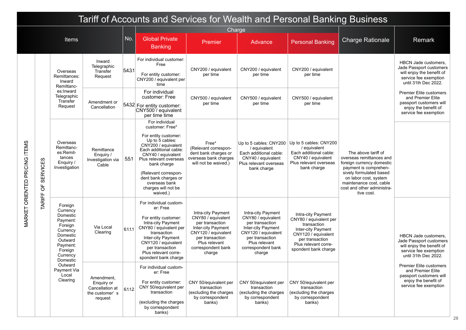|                               |                              |                                                                                                                                          |                                                                          |         | Tariff of Accounts and Services for Wealth and Personal Banking Business                                                                                                                                                                                                                         |                                                                                                                                                                              |                                                                                                                                                                                     |                                                                                                                                                                             |                                                                                                                                                                                                                                  |                                                                                                                                 |
|-------------------------------|------------------------------|------------------------------------------------------------------------------------------------------------------------------------------|--------------------------------------------------------------------------|---------|--------------------------------------------------------------------------------------------------------------------------------------------------------------------------------------------------------------------------------------------------------------------------------------------------|------------------------------------------------------------------------------------------------------------------------------------------------------------------------------|-------------------------------------------------------------------------------------------------------------------------------------------------------------------------------------|-----------------------------------------------------------------------------------------------------------------------------------------------------------------------------|----------------------------------------------------------------------------------------------------------------------------------------------------------------------------------------------------------------------------------|---------------------------------------------------------------------------------------------------------------------------------|
|                               |                              |                                                                                                                                          |                                                                          |         |                                                                                                                                                                                                                                                                                                  | Charge                                                                                                                                                                       |                                                                                                                                                                                     |                                                                                                                                                                             |                                                                                                                                                                                                                                  |                                                                                                                                 |
|                               |                              | Items                                                                                                                                    |                                                                          | No.     | <b>Global Private</b><br><b>Banking</b>                                                                                                                                                                                                                                                          | Premier                                                                                                                                                                      | Advance                                                                                                                                                                             | <b>Personal Banking</b>                                                                                                                                                     | <b>Charge Rationale</b>                                                                                                                                                                                                          | Remark                                                                                                                          |
|                               |                              | Overseas<br>Remittances:<br>Inward<br>Remittanc-                                                                                         | Inward<br>Telegraphic<br>Transfer<br>Request                             | 5.4.3.1 | For individual customer:<br>Free<br>For entity customer:<br>CNY200 / equivalent per<br>time                                                                                                                                                                                                      | CNY200 / equivalent<br>per time                                                                                                                                              | CNY200 / equivalent<br>per time                                                                                                                                                     | CNY200 / equivalent<br>per time                                                                                                                                             |                                                                                                                                                                                                                                  | HBCN Jade customers.<br>Jade Passport customers<br>will enjoy the benefit of<br>service fee exemption<br>until 31th Dec 2022.   |
|                               |                              | es:Inward<br>Telegraphic<br>Transfer<br>Request                                                                                          | Amendment or<br>Cancellation                                             |         | For individual<br>customer: Free<br>5432 For entity customer:<br>CNY500 <sup>'</sup> / equivalent<br>per time time                                                                                                                                                                               | CNY500 / equivalent<br>per time                                                                                                                                              | CNY500 / equivalent<br>per time                                                                                                                                                     | CNY500 / equivalent<br>per time                                                                                                                                             |                                                                                                                                                                                                                                  | <b>Premier Elite customers</b><br>and Premier Elite<br>passport customers will<br>enjoy the benefit of<br>service fee exemption |
| MARKET ORIENTED PRICING ITEMS | <b>SERVICES</b><br>TARIFF OF | Overseas<br>Remittanc-<br>es:Remit-<br>tances<br>Enguiry /<br>Investigation                                                              | Remittance<br>Enquiry /<br>Investigation via<br>Cable                    | 5.5.1   | For individual<br>customer: Free*<br>For entity customer:<br>Up to 5 cables:<br>CNY200 / equivalent<br>Each additional cable:<br>CNY40 / equivalent<br>Plus relevant overseas<br>bank charge<br>(Relevant correspon-<br>dent bank charges or<br>overseas bank<br>charges will not be<br>waived.) | Free*<br>(Relevant correspon-<br>dent bank charges or<br>overseas bank charges<br>will not be waived.)                                                                       | Up to 5 cables: CNY200<br>/ equivalent<br>Each additional cable:<br>CNY40 / equivalent<br>Plus relevant overseas<br>bank charge                                                     | Up to 5 cables: CNY200<br>/ equivalent<br>Each additional cable:<br>CNY40 / equivalent<br>Plus relevant overseas<br>bank charge                                             | The above tariff of<br>overseas remittances and<br>foreign currency domestic<br>payment is comprehen-<br>sively formulated based<br>on labor cost, system<br>maintenance cost, cable<br>cost and other administra-<br>tive cost. |                                                                                                                                 |
|                               |                              | Foreign<br>Currency<br>Domestic<br>Payment:<br>Foreign<br>Currency<br>Domestic<br>Outward<br>Payment:<br>Foreign<br>Currency<br>Domestic | Via Local<br>Clearing                                                    | 6111    | For individual custom-<br>er: Free<br>For entity customer:<br>Intra-city Payment<br>CNY80 / equivalent per<br>transaction<br>Inter-city Payment<br>CNY120 / equivalent<br>per transaction<br>Plus relevant corre-<br>spondent bank charge                                                        | Intra-city Payment<br>CNY80 / equivalent<br>per transaction<br>Inter-city Payment<br>CNY120 / equivalent<br>per transaction<br>Plus relevant<br>correspondent bank<br>charge | Intra-city Payment<br>CNY80 / equivalent<br>per transaction<br><b>Inter-city Payment</b><br>CNY120 / equivalent<br>per transaction<br>Plus relevant<br>correspondent bank<br>charge | Intra-city Payment<br>CNY80 / equivalent per<br>transaction<br>Inter-city Payment<br>CNY120 / equivalent<br>per transaction<br>Plus relevant corre-<br>spondent bank charge |                                                                                                                                                                                                                                  | HBCN Jade customers.<br>Jade Passport customers<br>will enjoy the benefit of<br>service fee exemption<br>until 31th Dec 2022.   |
|                               |                              | Outward<br>Payment Via<br>Local<br>Clearing                                                                                              | Amendment,<br>Enquiry or<br>Cancellation at<br>the customer's<br>request | 6.1.12  | For individual custom-<br>er: Free<br>For entity customer:<br>CNY 50/equivalent per<br>transaction<br>(excluding the charges<br>by correspondent<br>banks)                                                                                                                                       | CNY 50/equivalent per<br>transaction<br>(excluding the charges<br>by correspondent<br>banks)                                                                                 | CNY 50/equivalent per<br>transaction<br>(excluding the charges<br>by correspondent<br>banks)                                                                                        | CNY 50/equivalent per<br>transaction<br>(excluding the charges<br>by correspondent<br>banks)                                                                                |                                                                                                                                                                                                                                  | Premier Elite customers<br>and Premier Elite<br>passport customers will<br>enjoy the benefit of<br>service fee exemption        |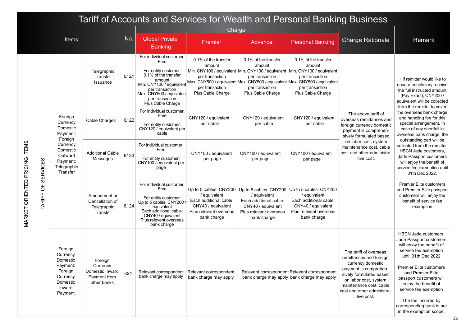|                               | Tariff of Accounts and Services for Wealth and Personal Banking Business |                                                                                                                                  |                                                                       |           |                                                                                                                                                                                            |                                                                                                                                                                                                  |                                                                                                                                                                                   |                                                                                                       |                                                                                                                                                                                                                                  |                                                                                                                                                                                                                                                                                                                                                       |
|-------------------------------|--------------------------------------------------------------------------|----------------------------------------------------------------------------------------------------------------------------------|-----------------------------------------------------------------------|-----------|--------------------------------------------------------------------------------------------------------------------------------------------------------------------------------------------|--------------------------------------------------------------------------------------------------------------------------------------------------------------------------------------------------|-----------------------------------------------------------------------------------------------------------------------------------------------------------------------------------|-------------------------------------------------------------------------------------------------------|----------------------------------------------------------------------------------------------------------------------------------------------------------------------------------------------------------------------------------|-------------------------------------------------------------------------------------------------------------------------------------------------------------------------------------------------------------------------------------------------------------------------------------------------------------------------------------------------------|
|                               |                                                                          |                                                                                                                                  |                                                                       |           | Charge                                                                                                                                                                                     |                                                                                                                                                                                                  |                                                                                                                                                                                   |                                                                                                       |                                                                                                                                                                                                                                  |                                                                                                                                                                                                                                                                                                                                                       |
|                               |                                                                          | Items                                                                                                                            |                                                                       | <b>No</b> | <b>Global Private</b><br><b>Banking</b>                                                                                                                                                    | Premier                                                                                                                                                                                          | Advance                                                                                                                                                                           | <b>Personal Banking</b>                                                                               | <b>Charge Rationale</b>                                                                                                                                                                                                          | Remark                                                                                                                                                                                                                                                                                                                                                |
|                               | <b>SERVICES</b>                                                          | Foreign<br>Currency<br>Domestic<br>Payment:<br>Foreign<br>Currency<br>Domestic<br>Outward<br>Payment:<br>Telegraphic<br>Transfer | Telegraphic<br>Transfer<br>Issuance                                   | 6.12.1    | For individual customer:<br>Free<br>For entity customer:<br>0.1% of the transfer<br>per transaction<br>Max. CNY500 / equivalent<br>per transaction<br>Plus Cable Charge                    | 0.1% of the transfer<br>amount<br>per transaction<br>Min. CNY100 / equivalent Max. CNY500 / equivalent Max. CNY500 / equivalent Max. CNY500 / equivalent<br>per transaction<br>Plus Cable Charge | 0.1% of the transfer<br>amount<br>Min. CNY100 / equivalent Min. CNY100 / equivalent Min. CNY100 / equivalent<br>per transaction<br>per transaction<br>Plus Cable Charge           | 0.1% of the transfer<br>amount<br>per transaction<br>per transaction<br>Plus Cable Charge             |                                                                                                                                                                                                                                  | + If remitter would like to<br>ensure beneficiary receive<br>the full instructed amount<br>(Pay Exact), CNY200 /<br>equivalent will be collected<br>from the remitter to cover                                                                                                                                                                        |
|                               |                                                                          |                                                                                                                                  | Cable Charges                                                         | 6.122     | For individual customer:<br>Free<br>For entity customer:<br>CNY120 / equivalent per<br>cable                                                                                               | CNY120 / equivalent<br>per cable                                                                                                                                                                 | CNY120 / equivalent<br>per cable                                                                                                                                                  | CNY120 / equivalent<br>per cable                                                                      | The above tariff of<br>overseas remittances and<br>foreign currency domestic<br>payment is comprehen-<br>sively formulated based<br>on labor cost, system<br>maintenance cost, cable<br>cost and other administra-<br>tive cost. | the overseas bank charge<br>and handling fee for this<br>special arrangement. In<br>case of any shortfall in<br>overseas bank charge, the<br>outstanding part will be<br>collected from the remitter.<br><b>HBCN Jade customers.</b><br>Jade Passport customers<br>will enjoy the benefit of<br>service fee exemption until                           |
|                               |                                                                          |                                                                                                                                  | <b>Additional Cable</b><br>Messages                                   | 6.123     | For individual customer:<br>Free<br>For entity customer:<br>CNY100 / equivalent per<br>page                                                                                                | CNY100 / equivalent<br>per page                                                                                                                                                                  | CNY100 / equivalent<br>per page                                                                                                                                                   | CNY100 / equivalent<br>per page                                                                       |                                                                                                                                                                                                                                  |                                                                                                                                                                                                                                                                                                                                                       |
| MARKET ORIENTED PRICING ITEMS | $\overline{0}$<br><b>TARIFF</b>                                          |                                                                                                                                  | Amendment or<br>Cancellation of<br>Telegraphic<br>Transfer            | 6124      | For individual customer:<br>Free<br>For entity customer:<br>Up to 5 cables: CNY200.<br>equivalent<br>Each additional cable:<br>CNY40 / equivalent<br>Plus relevant overseas<br>bank charge | / equivalent<br>Each additional cable:<br>CNY40 / equivalent<br>Plus relevant overseas<br>bank charge                                                                                            | Up to 5 cables: CNY200   Up to 5 cables: CNY200   Up to 5 cables: CNY200<br>/ equivalent<br>Each additional cable:<br>CNY40 / equivalent<br>Plus relevant overseas<br>bank charge | / equivalent<br>Each additional cable:<br>CNY40 / equivalent<br>Plus relevant overseas<br>bank charge |                                                                                                                                                                                                                                  | 31th Dec 2022.<br><b>Premier Elite customers</b><br>and Premier Elite passport<br>customers will enjoy the<br>benefit of service fee<br>exemption                                                                                                                                                                                                     |
|                               |                                                                          | Foreign<br>Currency<br>Domestic<br>Payment:<br>Foreign<br>Currency<br>Domestic<br>Inward<br>Payment                              | Foreign<br>Currency<br>Domestic Inward<br>Payment from<br>other banks | 621       | bank charge may apply                                                                                                                                                                      | Relevant correspondent   Relevant correspondent<br>bank charge may apply                                                                                                                         |                                                                                                                                                                                   | Relevant correspondent Relevant correspondent<br>bank charge may apply bank charge may apply          | The tariff of overseas<br>remittances and foreign<br>currency domestic<br>payment is comprehen-<br>sively formulated based<br>on labor cost, system<br>maintenance cost, cable<br>cost and other administra-<br>tive cost.       | <b>HBCN Jade customers.</b><br>Jade Passport customers<br>will enjoy the benefit of<br>service fee exemption<br>until 31th Dec 2022<br><b>Premier Elite customers</b><br>and Premier Elite<br>passport customers will<br>enjoy the benefit of<br>service fee exemption<br>The fee incurred by<br>corresponding bank is not<br>in the exemption scope. |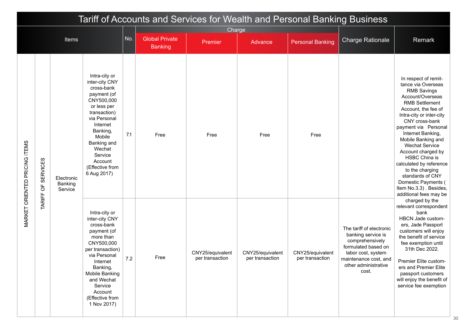|                                      |                              |                                  |                                                                                                                                                                                                                                                    |     |                       |                                     |                                     | Tariff of Accounts and Services for Wealth and Personal Banking Business |                                                                                                                                                                          |                                                                                                                                                                                                                                                                                                                                                                                                                                                                           |
|--------------------------------------|------------------------------|----------------------------------|----------------------------------------------------------------------------------------------------------------------------------------------------------------------------------------------------------------------------------------------------|-----|-----------------------|-------------------------------------|-------------------------------------|--------------------------------------------------------------------------|--------------------------------------------------------------------------------------------------------------------------------------------------------------------------|---------------------------------------------------------------------------------------------------------------------------------------------------------------------------------------------------------------------------------------------------------------------------------------------------------------------------------------------------------------------------------------------------------------------------------------------------------------------------|
|                                      |                              | <b>Items</b>                     |                                                                                                                                                                                                                                                    | No. | <b>Global Private</b> | Charge                              |                                     |                                                                          | <b>Charge Rationale</b>                                                                                                                                                  | Remark                                                                                                                                                                                                                                                                                                                                                                                                                                                                    |
|                                      |                              |                                  |                                                                                                                                                                                                                                                    |     | <b>Banking</b>        | Premier                             | Advance                             | <b>Personal Banking</b>                                                  |                                                                                                                                                                          |                                                                                                                                                                                                                                                                                                                                                                                                                                                                           |
| <b>MARKET ORIENTED PRICING ITEMS</b> | <b>SERVICES</b><br>TARIFF OF | Electronic<br>Banking<br>Service | Intra-city or<br>inter-city CNY<br>cross-bank<br>payment (of<br>CNY500,000<br>or less per<br>transaction)<br>via Personal<br>Internet<br>Banking,<br>Mobile<br>Banking and<br>Wechat<br>Service<br>Account<br>(Effective from<br>6 Aug 2017)       | 7.1 | Free                  | Free                                | Free                                | Free                                                                     |                                                                                                                                                                          | In respect of remit-<br>tance via Overseas<br><b>RMB Savings</b><br>Account/Overseas<br><b>RMB Settlement</b><br>Account, the fee of<br>Intra-city or inter-city<br>CNY cross-bank<br>payment via Personal<br>Internet Banking,<br>Mobile Banking and<br><b>Wechat Service</b><br>Account charged by<br><b>HSBC China is</b><br>calculated by reference<br>to the charging<br>standards of CNY<br>Domestic Payments (<br>Item No.3.3). Besides,<br>additional fees may be |
|                                      |                              |                                  | Intra-city or<br>inter-city CNY<br>cross-bank<br>payment (of<br>more than<br>CNY500,000<br>per transaction)<br>via Personal<br>Internet<br>Banking,<br><b>Mobile Banking</b><br>and Wechat<br>Service<br>Account<br>(Effective from<br>1 Nov 2017) | 7.2 | Free                  | CNY25/equivalent<br>per transaction | CNY25/equivalent<br>per transaction | CNY25/equivalent<br>per transaction                                      | The tariff of electronic<br>banking service is<br>comprehensively<br>formulated based on<br>labor cost, system<br>maintenance cost, and<br>other administrative<br>cost. | charged by the<br>relevant correspondent<br>bank<br>HBCN Jade custom-<br>ers, Jade Passport<br>customers will enjoy<br>the benefit of service<br>fee exemption until<br>31th Dec 2022.<br>Premier Elite custom-<br>ers and Premier Elite<br>passport customers<br>will enjoy the benefit of<br>service fee exemption                                                                                                                                                      |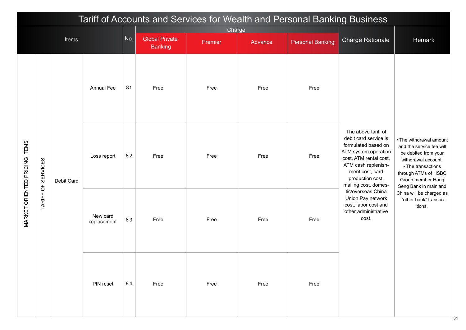|                               |                    |              |                         |     |                       |         |         | Tariff of Accounts and Services for Wealth and Personal Banking Business |                                                                                                                                                                                                             |                                                                                                                                                                                                |
|-------------------------------|--------------------|--------------|-------------------------|-----|-----------------------|---------|---------|--------------------------------------------------------------------------|-------------------------------------------------------------------------------------------------------------------------------------------------------------------------------------------------------------|------------------------------------------------------------------------------------------------------------------------------------------------------------------------------------------------|
|                               |                    | <b>Items</b> |                         | No. | <b>Global Private</b> | Charge  |         |                                                                          | <b>Charge Rationale</b>                                                                                                                                                                                     | Remark                                                                                                                                                                                         |
|                               |                    |              |                         |     | <b>Banking</b>        | Premier | Advance | <b>Personal Banking</b>                                                  |                                                                                                                                                                                                             |                                                                                                                                                                                                |
|                               |                    |              | <b>Annual Fee</b>       | 8.1 | Free                  | Free    | Free    | Free                                                                     |                                                                                                                                                                                                             |                                                                                                                                                                                                |
| MARKET ORIENTED PRICING ITEMS | TARIFF OF SERVICES | Debit Card   | Loss report             | 8.2 | Free                  | Free    | Free    | Free                                                                     | The above tariff of<br>debit card service is<br>formulated based on<br>ATM system operation<br>cost, ATM rental cost,<br>ATM cash replenish-<br>ment cost, card<br>production cost,<br>mailing cost, domes- | • The withdrawal amount<br>and the service fee will<br>be debited from your<br>withdrawal account.<br>• The transactions<br>through ATMs of HSBC<br>Group member Hang<br>Seng Bank in mainland |
|                               |                    |              | New card<br>replacement | 8.3 | Free                  | Free    | Free    | Free                                                                     | tic/overseas China<br>Union Pay network<br>cost, labor cost and<br>other administrative<br>cost.                                                                                                            | China will be charged as<br>"other bank" transac-<br>tions.                                                                                                                                    |
|                               |                    |              | PIN reset               | 8.4 | Free                  | Free    | Free    | Free                                                                     |                                                                                                                                                                                                             |                                                                                                                                                                                                |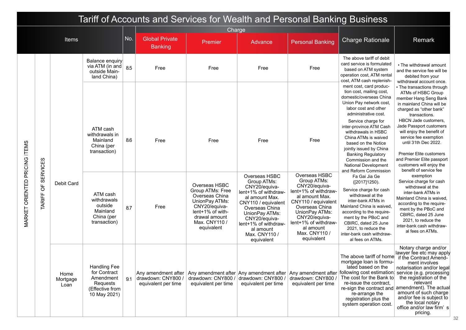|                               | Tariff of Accounts and Services for Wealth and Personal Banking Business |                          |                                                                                                 |     |                                                                  |                                                                                                                                                            |                                                                                                                                                                                                                                         |                                                                                                                                                                                                                                         |                                                                                                                                                                                                                                                                                                                                                                                                                                                                                                                                                                                                                                                                                                           |                                                                                                                                                                                                                                                                                                                                                                                                           |
|-------------------------------|--------------------------------------------------------------------------|--------------------------|-------------------------------------------------------------------------------------------------|-----|------------------------------------------------------------------|------------------------------------------------------------------------------------------------------------------------------------------------------------|-----------------------------------------------------------------------------------------------------------------------------------------------------------------------------------------------------------------------------------------|-----------------------------------------------------------------------------------------------------------------------------------------------------------------------------------------------------------------------------------------|-----------------------------------------------------------------------------------------------------------------------------------------------------------------------------------------------------------------------------------------------------------------------------------------------------------------------------------------------------------------------------------------------------------------------------------------------------------------------------------------------------------------------------------------------------------------------------------------------------------------------------------------------------------------------------------------------------------|-----------------------------------------------------------------------------------------------------------------------------------------------------------------------------------------------------------------------------------------------------------------------------------------------------------------------------------------------------------------------------------------------------------|
|                               |                                                                          |                          |                                                                                                 |     |                                                                  | Charge                                                                                                                                                     |                                                                                                                                                                                                                                         |                                                                                                                                                                                                                                         |                                                                                                                                                                                                                                                                                                                                                                                                                                                                                                                                                                                                                                                                                                           |                                                                                                                                                                                                                                                                                                                                                                                                           |
|                               |                                                                          | <b>Items</b>             |                                                                                                 | No. | <b>Global Private</b><br><b>Banking</b>                          | Premier                                                                                                                                                    | Advance                                                                                                                                                                                                                                 | <b>Personal Banking</b>                                                                                                                                                                                                                 | <b>Charge Rationale</b>                                                                                                                                                                                                                                                                                                                                                                                                                                                                                                                                                                                                                                                                                   | Remark                                                                                                                                                                                                                                                                                                                                                                                                    |
|                               |                                                                          |                          | <b>Balance enquiry</b><br>via ATM (in and)<br>outside Main-<br>land China)                      | 8.5 | Free                                                             | Free                                                                                                                                                       | Free                                                                                                                                                                                                                                    | Free                                                                                                                                                                                                                                    | The above tariff of debit<br>card service is formulated<br>based on ATM system<br>operation cost, ATM rental<br>cost, ATM cash replenish-                                                                                                                                                                                                                                                                                                                                                                                                                                                                                                                                                                 | • The withdrawal amount<br>and the service fee will be<br>debited from your<br>withdrawal account once.                                                                                                                                                                                                                                                                                                   |
|                               |                                                                          | Debit Card               | ATM cash<br>withdrawals in<br>Mainland<br>China (per<br>transaction)                            | 8.6 | Free                                                             | Free                                                                                                                                                       | Free                                                                                                                                                                                                                                    | Free                                                                                                                                                                                                                                    | ment cost, card produc-<br>tion cost, mailing cost,<br>domestic/overseas China<br>Union Pay network cost,<br>labor cost and other<br>administrative cost.<br>Service charge for<br>inter-province ATM Cash<br>withdrawals in HSBC<br>China ATMs is waived<br>based on the Notice<br>jointly issued by China<br><b>Banking Regulatory</b><br>Commission and the<br>National Development<br>and Reform Commission<br>Fa Gai Jia Ge<br>([2017]1250).<br>Service charge for cash<br>withdrawal at the<br>inter-bank ATMs in<br>Mainland China is waived,<br>according to the require-<br>ment by the PBoC and<br>CBIRC, dated 25 June<br>2021, to reduce the<br>inter-bank cash withdraw-<br>al fees on ATMs. | • The transactions through<br>ATMs of HSBC Group<br>member Hang Seng Bank<br>in mainland China will be<br>charged as "other bank"<br>transactions.<br><b>HBCN Jade customers.</b><br>Jade Passport customers<br>will enjoy the benefit of<br>service fee exemption<br>until 31th Dec 2022.<br>Premier Elite customers<br>and Premier Elite passport<br>customers will enjoy the<br>benefit of service fee |
| MARKET ORIENTED PRICING ITEMS | <b>SERVICES</b><br>$\overline{\sigma}$<br>TARIFF                         |                          | ATM cash<br>withdrawals<br>outside<br>Mainland<br>China (per<br>transaction)                    | 8.7 | Free                                                             | Overseas HSBC<br>Group ATMs: Free<br>Overseas China<br>UnionPay ATMs:<br>CNY20/equiva-<br>lent+1% of with-<br>drawal amount<br>Max. CNY110 /<br>equivalent | Overseas HSBC<br>Group ATMs:<br>CNY20/equiva-<br>lent+1% of withdraw-<br>al amount Max.<br>CNY110 / equivalent<br>Overseas China<br>UnionPay ATMs:<br>CNY20/equiva-<br>lent+1% of withdraw-<br>al amount<br>Max. CNY110 /<br>equivalent | Overseas HSBC<br>Group ATMs:<br>CNY20/equiva-<br>lent+1% of withdraw-<br>al amount Max.<br>CNY110 / equivalent<br>Overseas China<br>UnionPay ATMs:<br>CNY20/equiva-<br>lent+1% of withdraw-<br>al amount<br>Max. CNY110 /<br>equivalent |                                                                                                                                                                                                                                                                                                                                                                                                                                                                                                                                                                                                                                                                                                           | exemption<br>Service charge for cash<br>withdrawal at the<br>inter-bank ATMs in<br>Mainland China is waived,<br>according to the require-<br>ment by the PBoC and<br>CBIRC, dated 25 June<br>2021, to reduce the<br>inter-bank cash withdraw-<br>al fees on ATMs.                                                                                                                                         |
|                               |                                                                          | Home<br>Mortgage<br>Loan | <b>Handling Fee</b><br>for Contract<br>Amendment<br>Requests<br>(Effective from<br>10 May 2021) | 9.1 | Any amendment after<br>drawdown: CNY800 /<br>equivalent per time | drawdown: CNY800 /<br>equivalent per time                                                                                                                  | Any amendment after Any amendment after<br>drawdown: CNY800 /<br>equivalent per time                                                                                                                                                    | Any amendment after<br>drawdown: CNY800<br>equivalent per time                                                                                                                                                                          | mortgage loan is formu-<br>lated based on the<br>following cost estimation: service (e.g. processing<br>The cost for the Bank to<br>re-issue the contract,<br>re-arrange the<br>registration plus the<br>system operation cost.                                                                                                                                                                                                                                                                                                                                                                                                                                                                           | Notary charge and/or<br>lawyer fee etc may apply<br>The above tariff of home if the Contract Amend-<br>ment involves<br>notarisation and/or legal<br>the registration of the<br>relevant<br>re-sign the contract and amendment). The actual<br>amount of such charge<br>and/or fee is subject to<br>the local notary<br>office and/or law firm's<br>pricing.                                              |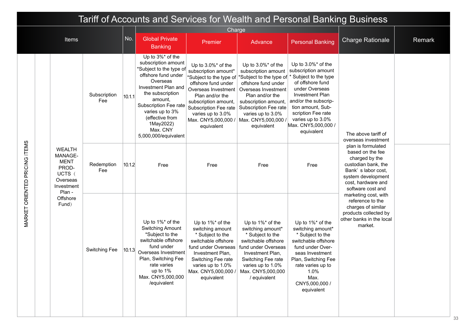|                        | Tariff of Accounts and Services for Wealth and Personal Banking Business                       |                     |        |                                                                                                                                                                                                                                                                             |                                                                                                                                                                                                                                                       |                                                                                                                                                                                                                                                  |                                                                                                                                                                                                                                                        |                                                                                                                                                                                                                      |        |  |  |
|------------------------|------------------------------------------------------------------------------------------------|---------------------|--------|-----------------------------------------------------------------------------------------------------------------------------------------------------------------------------------------------------------------------------------------------------------------------------|-------------------------------------------------------------------------------------------------------------------------------------------------------------------------------------------------------------------------------------------------------|--------------------------------------------------------------------------------------------------------------------------------------------------------------------------------------------------------------------------------------------------|--------------------------------------------------------------------------------------------------------------------------------------------------------------------------------------------------------------------------------------------------------|----------------------------------------------------------------------------------------------------------------------------------------------------------------------------------------------------------------------|--------|--|--|
|                        |                                                                                                |                     |        |                                                                                                                                                                                                                                                                             | Charge                                                                                                                                                                                                                                                |                                                                                                                                                                                                                                                  |                                                                                                                                                                                                                                                        |                                                                                                                                                                                                                      |        |  |  |
|                        | Items                                                                                          |                     | No.    | <b>Global Private</b><br><b>Banking</b>                                                                                                                                                                                                                                     | Premier                                                                                                                                                                                                                                               | Advance                                                                                                                                                                                                                                          | <b>Personal Banking</b>                                                                                                                                                                                                                                | <b>Charge Rationale</b>                                                                                                                                                                                              | Remark |  |  |
|                        |                                                                                                | Subscription<br>Fee | 10.1.1 | Up to 3%* of the<br>subscription amount<br>*Subject to the type of<br>offshore fund under<br>Overseas<br>Investment Plan and<br>the subscription<br>amount.<br>Subscription Fee rate<br>varies up to 3%<br>(effective from<br>1May2022)<br>Max. CNY<br>5,000,000/equivalent | Up to $3.0\%$ * of the<br>subscription amount*<br>*Subject to the type of<br>offshore fund under<br>Overseas Investment<br>Plan and/or the<br>subscription amount,<br>Subscription Fee rate<br>varies up to 3.0%<br>Max. CNY5,000,000 /<br>equivalent | Up to 3.0%* of the<br>subscription amount<br>*Subject to the type of<br>offshore fund under<br>Overseas Investment<br>Plan and/or the<br>subscription amount,<br>Subscription Fee rate<br>varies up to 3.0%<br>Max. CNY5,000,000 /<br>equivalent | Up to 3.0%* of the<br>subscription amount<br>Subject to the type<br>of offshore fund<br>under Overseas<br>Investment Plan<br>and/or the subscrip-<br>tion amount, Sub-<br>scription Fee rate<br>varies up to 3.0%<br>Max. CNY5,000,000 /<br>equivalent | The above tariff of<br>overseas investment<br>plan is formulated<br>based on the fee<br>charged by the<br>custodian bank, the<br>Bank's labor cost,<br>system development<br>cost, hardware and<br>software cost and |        |  |  |
| PRICING ITEMS          | <b>WEALTH</b><br>MANAGE-<br><b>MENT</b><br>PROD-<br>UCTS (<br>Overseas<br>Investment<br>Plan - | Redemption<br>Fee   | 10.1.2 | Free                                                                                                                                                                                                                                                                        | Free                                                                                                                                                                                                                                                  | Free                                                                                                                                                                                                                                             | Free                                                                                                                                                                                                                                                   |                                                                                                                                                                                                                      |        |  |  |
| <b>MARKET ORIENTED</b> | Offshore<br>Fund)                                                                              | Switching Fee       | 10.1.3 | Up to 1%* of the<br>Switching Amount<br>*Subject to the<br>switchable offshore<br>fund under<br>Overseas Investment<br>Plan, Switching Fee<br>rate varies<br>up to 1%<br>Max. CNY5,000,000<br>/equivalent                                                                   | Up to 1%* of the<br>switching amount<br>* Subject to the<br>switchable offshore<br>fund under Overseas<br>Investment Plan,<br>Switching Fee rate<br>varies up to 1.0%<br>Max. CNY5,000,000 /<br>equivalent                                            | Up to 1%* of the<br>switching amount*<br>* Subject to the<br>switchable offshore<br>fund under Overseas<br>Investment Plan,<br>Switching Fee rate<br>varies up to 1.0%<br>Max. CNY5,000,000<br>/ equivalent                                      | Up to 1%* of the<br>switching amount*<br>* Subject to the<br>switchable offshore<br>fund under Over-<br>seas Investment<br>Plan, Switching Fee<br>rate varies up to<br>1.0%<br>Max.<br>CNY5,000,000 /<br>equivalent                                    | marketing cost, with<br>reference to the<br>charges of similar<br>products collected by<br>other banks in the local<br>market.                                                                                       |        |  |  |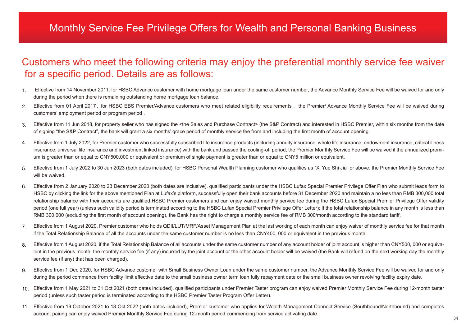### Monthly Service Fee Privilege Offers for Wealth and Personal Banking Business

### Customers who meet the following criteria may enjoy the preferential monthly service fee waiver for a specific period. Details are as follows:

- Effective from 14 November 2011, for HSBC Advance customer with home mortgage loan under the same customer number, the Advance Monthly Service Fee will be waived for and only during the period when there is remaining outstanding home mortgage loan balance. 1.
- Effective from 01 April 2017, for HSBC EBS Premier/Advance customers who meet related eligibility requirements, the Premier/ Advance Monthly Service Fee will be waived during customers' employment period or program period . 2.
- Effective from 11 Jun 2018, for property seller who has signed the <the Sales and Purchase Contract> (the S&P Contract) and interested in HSBC Premier, within six months from the date of signing "the S&P Contract", the bank will grant a six months' grace period of monthly service fee from and including the first month of account opening. 3.
- Effective from 1 July 2022, for Premier customer who successfully subscribed life insurance products (including annuity insurance, whole life insurance, endowment insurance, critical illness insurance, universal life insurance and investment linked insurance) with the bank and passed the cooling-off period, the Premier Monthly Service Fee will be waived if the annualized premium is greater than or equal to CNY500,000 or equivalent or premium of single payment is greater than or equal to CNY5 million or equivalent. 4.
- Effective from 1 July 2022 to 30 Jun 2023 (both dates included), for HSBC Personal Wealth Planning customer who qualifies as "Xi Yue Shi Jia" or above, the Premier Monthly Service Fee will be waived. 5.
- Effective from 2 January 2020 to 23 December 2020 (both dates are inclusive), qualified participants under the HSBC Lufax Special Premier Privilege Offer Plan who submit leads form to HSBC by clicking the link for the above mentioned Plan at Lufax's platform, successfully open their bank accounts before 31 December 2020 and maintain a no less than RMB 300,000 total relationship balance with their accounts are qualified HSBC Premier customers and can enjoy waived monthly service fee during the HSBC Lufax Special Premier Privilege Offer validity period (one full year) (unless such validity period is terminated according to the HSBC Lufax Special Premier Privilege Offer Letter); If the total relationship balance in any month is less than RMB 300,000 (excluding the first month of account opening), the Bank has the right to charge a monthly service fee of RMB 300/month according to the standard tariff. 6.
- Effective from 1 August 2020, Premier customer who holds QDII/LUT/MRF/Asset Management Plan at the last working of each month can enjoy waiver of monthly service fee for that month 7. if the Total Relationship Balance of all the accounts under the same customer number is no less than CNY400, 000 or equivalent in the previous month.
- Effective from 1 August 2020, if the Total Relationship Balance of all accounts under the same customer number of any account holder of joint account is higher than CNY500, 000 or equivalent in the previous month, the monthly service fee (if any) incurred by the joint account or the other account holder will be waived (the Bank will refund on the next working day the monthly service fee (if any) that has been charged). 8.
- Effective from 1 Dec 2020, for HSBC Advance customer with Small Business Owner Loan under the same customer number, the Advance Monthly Service Fee will be waived for and only during the period commence from facility limit effective date to the small business owner term loan fully repayment date or the small business owner revolving facility expiry date. 9.
- Effective from 1 May 2021 to 31 Oct 2021 (both dates included), qualified participants under Premier Taster program can enjoy waived Premier Monthly Service Fee during 12-month taster 10. period (unless such taster period is terminated according to the HSBC Premier Taster Program Offer Letter).
- Effective from 19 October 2021 to 18 Oct 2022 (both dates included), Premier customer who applies for Wealth Management Connect Service (Southbound/Northbound) and completes 11.account pairing can enjoy waived Premier Monthly Service Fee during 12-month period commencing from service activating date.